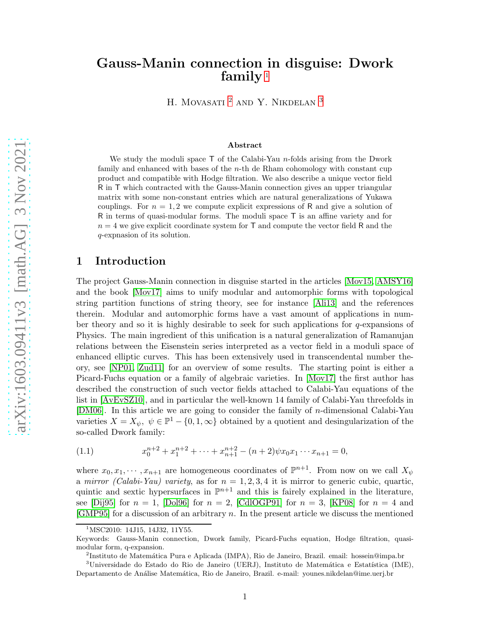# Gauss-Manin connection in disguise: Dwork family<sup>[1](#page-0-0)</sup>

H. MOVASATI <sup>[2](#page-0-1)</sup> AND Y. NIKDELAN <sup>[3](#page-0-2)</sup>

#### Abstract

We study the moduli space  $\mathsf T$  of the Calabi-Yau n-folds arising from the Dwork family and enhanced with bases of the n-th de Rham cohomology with constant cup product and compatible with Hodge filtration. We also describe a unique vector field R in T which contracted with the Gauss-Manin connection gives an upper triangular matrix with some non-constant entries which are natural generalizations of Yukawa couplings. For  $n = 1, 2$  we compute explicit expressions of R and give a solution of R in terms of quasi-modular forms. The moduli space T is an affine variety and for  $n = 4$  we give explicit coordinate system for T and compute the vector field R and the q-expnasion of its solution.

## 1 Introduction

The project Gauss-Manin connection in disguise started in the articles [\[Mov15,](#page-20-0) [AMSY16\]](#page-19-0) and the book [\[Mov17\]](#page-20-1) aims to unify modular and automorphic forms with topological string partition functions of string theory, see for instance [\[Ali13\]](#page-19-1) and the references therein. Modular and automorphic forms have a vast amount of applications in number theory and so it is highly desirable to seek for such applications for q-expansions of Physics. The main ingredient of this unification is a natural generalization of Ramanujan relations between the Eisenstein series interpreted as a vector field in a moduli space of enhanced elliptic curves. This has been extensively used in transcendental number theory, see [\[NP01,](#page-20-2) [Zud11\]](#page-20-3) for an overview of some results. The starting point is either a Picard-Fuchs equation or a family of algebraic varieties. In [\[Mov17\]](#page-20-1) the first author has described the construction of such vector fields attached to Calabi-Yau equations of the list in [\[AvEvSZ10\]](#page-19-2), and in particular the well-known 14 family of Calabi-Yau threefolds in [\[DM06\]](#page-19-3). In this article we are going to consider the family of  $n$ -dimensional Calabi-Yau varieties  $X = X_{\psi}, \ \psi \in \mathbb{P}^1 - \{0, 1, \infty\}$  obtained by a quotient and desingularization of the so-called Dwork family:

<span id="page-0-3"></span>(1.1) 
$$
x_0^{n+2} + x_1^{n+2} + \dots + x_{n+1}^{n+2} - (n+2)\psi x_0 x_1 \dots x_{n+1} = 0,
$$

where  $x_0, x_1, \dots, x_{n+1}$  are homogeneous coordinates of  $\mathbb{P}^{n+1}$ . From now on we call  $X_{\psi}$ a mirror (Calabi-Yau) variety, as for  $n = 1, 2, 3, 4$  it is mirror to generic cubic, quartic, quintic and sextic hypersurfaces in  $\mathbb{P}^{n+1}$  and this is fairely explained in the literature, see [\[Dij95\]](#page-19-4) for  $n = 1$ , [\[Dol96\]](#page-19-5) for  $n = 2$ , [CdIOGP91] for  $n = 3$ , [\[KP08\]](#page-20-4) for  $n = 4$  and [\[GMP95\]](#page-20-5) for a discussion of an arbitrary n. In the present article we discuss the mentioned

<span id="page-0-1"></span> $^{2}$ Instituto de Matemática Pura e Aplicada (IMPA), Rio de Janeiro, Brazil. email: hossein@impa.br

<span id="page-0-0"></span><sup>&</sup>lt;sup>1</sup>MSC2010: 14J15, 14J32, 11Y55.

Keywords: Gauss-Manin connection, Dwork family, Picard-Fuchs equation, Hodge filtration, quasimodular form, q-expansion.

<span id="page-0-2"></span> $3$ Universidade do Estado do Rio de Janeiro (UERJ), Instituto de Matemática e Estatística (IME), Departamento de An´alise Matem´atica, Rio de Janeiro, Brazil. e-mail: younes.nikdelan@ime.uerj.br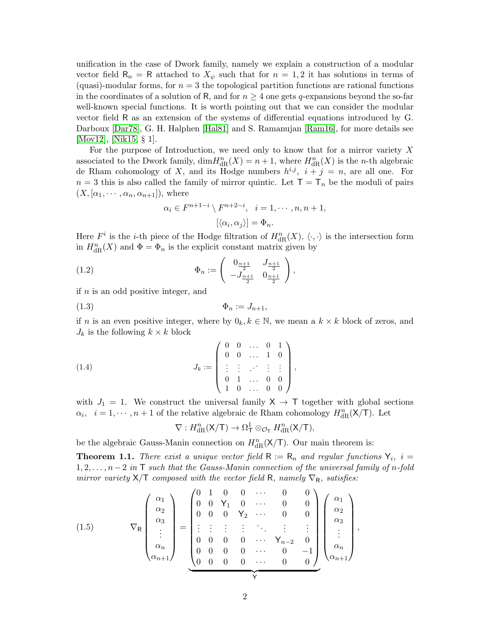unification in the case of Dwork family, namely we explain a construction of a modular vector field  $\mathsf{R}_n = \mathsf{R}$  attached to  $X_{\psi}$  such that for  $n = 1, 2$  it has solutions in terms of (quasi)-modular forms, for  $n = 3$  the topological partition functions are rational functions in the coordinates of a solution of R, and for  $n \geq 4$  one gets q-expansions beyond the so-far well-known special functions. It is worth pointing out that we can consider the modular vector field R as an extension of the systems of differential equations introduced by G. Darboux [\[Dar78\]](#page-19-7), G. H. Halphen [\[Hal81\]](#page-20-6) and S. Ramanujan [\[Ram16\]](#page-20-7), for more details see [\[Mov12\]](#page-20-8), [\[Nik15,](#page-20-9) § 1].

For the purpose of Introduction, we need only to know that for a mirror variety X associated to the Dwork family,  $\dim H_{\text{dR}}^n(X) = n + 1$ , where  $H_{\text{dR}}^n(X)$  is the *n*-th algebraic de Rham cohomology of X, and its Hodge numbers  $h^{i,j}$ ,  $i + j = n$ , are all one. For  $n = 3$  this is also called the family of mirror quintic. Let  $T = T_n$  be the moduli of pairs  $(X, [\alpha_1, \cdots, \alpha_n, \alpha_{n+1}]),$  where

$$
\alpha_i \in F^{n+1-i} \setminus F^{n+2-i}, \quad i = 1, \cdots, n, n+1,
$$

$$
[\langle \alpha_i, \alpha_j \rangle] = \Phi_n.
$$

Here  $F^i$  is the *i*-th piece of the Hodge filtration of  $H_{\text{dR}}^n(X)$ ,  $\langle \cdot, \cdot \rangle$  is the intersection form in  $H_{\text{dR}}^n(X)$  and  $\Phi = \Phi_n$  is the explicit constant matrix given by

(1.2) 
$$
\Phi_n := \begin{pmatrix} 0_{\frac{n+1}{2}} & J_{\frac{n+1}{2}} \\ -J_{\frac{n+1}{2}} & 0_{\frac{n+1}{2}} \end{pmatrix},
$$

if  $n$  is an odd positive integer, and

$$
\Phi_n := J_{n+1},
$$

if n is an even positive integer, where by  $0_k, k \in \mathbb{N}$ , we mean a  $k \times k$  block of zeros, and  $J_k$  is the following  $k \times k$  block

(1.4) 
$$
J_k := \left(\begin{array}{cccc} 0 & 0 & \dots & 0 & 1 \\ 0 & 0 & \dots & 1 & 0 \\ \vdots & \vdots & \dots & \vdots & \vdots \\ 0 & 1 & \dots & 0 & 0 \\ 1 & 0 & \dots & 0 & 0 \end{array}\right),
$$

with  $J_1 = 1$ . We construct the universal family  $X \to T$  together with global sections  $\alpha_i, i = 1, \dots, n+1$  of the relative algebraic de Rham cohomology  $H_{\text{dR}}^n(\mathsf{X}/\mathsf{T})$ . Let

$$
\nabla: H^n_{\rm dR}({\sf X}/{\sf T})\to \Omega^1_{\sf T}\otimes_{{\mathcal O}_{\sf T}}H^n_{\rm dR}({\sf X}/{\sf T}),
$$

be the algebraic Gauss-Manin connection on  $H_{\text{dR}}^n(\mathsf{X}/\mathsf{T})$ . Our main theorem is:

<span id="page-1-0"></span>**Theorem 1.1.** There exist a unique vector field  $R := R_n$  and regular functions  $Y_i$ ,  $i =$  $1, 2, \ldots, n-2$  in T such that the Gauss-Manin connection of the universal family of n-fold mirror variety  $X/T$  composed with the vector field R, namely  $\nabla_R$ , satisfies:

(1.5) 
$$
\nabla_{\mathsf{R}}\begin{pmatrix} \alpha_{1} \\ \alpha_{2} \\ \alpha_{3} \\ \vdots \\ \alpha_{n} \\ \alpha_{n+1} \end{pmatrix} = \begin{pmatrix} 0 & 1 & 0 & 0 & \cdots & 0 & 0 \\ 0 & 0 & Y_{1} & 0 & \cdots & 0 & 0 \\ 0 & 0 & 0 & Y_{2} & \cdots & 0 & 0 \\ \vdots & \vdots & \vdots & \vdots & \ddots & \vdots & \vdots \\ 0 & 0 & 0 & 0 & \cdots & Y_{n-2} & 0 \\ 0 & 0 & 0 & 0 & \cdots & 0 & -1 \\ 0 & 0 & 0 & 0 & \cdots & 0 & 0 \end{pmatrix} \begin{pmatrix} \alpha_{1} \\ \alpha_{2} \\ \vdots \\ \alpha_{n} \\ \alpha_{n} \\ \alpha_{n+1} \end{pmatrix},
$$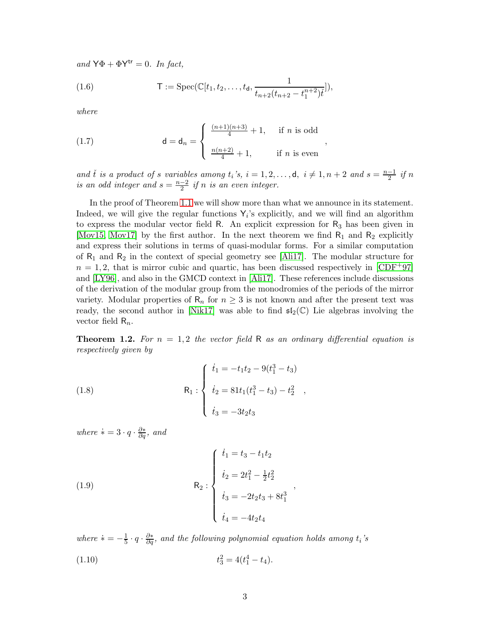and  $\mathsf{Y}\Phi + \Phi \mathsf{Y}^{\mathsf{tr}} = 0$ . In fact,

(1.6) 
$$
\mathsf{T} := \mathrm{Spec}(\mathbb{C}[t_1, t_2, \dots, t_{\mathsf{d}}, \frac{1}{t_{n+2}(t_{n+2} - t_1^{n+2})t}]),
$$

where

<span id="page-2-0"></span>(1.7) 
$$
d = d_n = \begin{cases} \frac{(n+1)(n+3)}{4} + 1, & \text{if } n \text{ is odd} \\ \frac{n(n+2)}{4} + 1, & \text{if } n \text{ is even} \end{cases}
$$

and t is a product of s variables among  $t_i$ 's,  $i = 1, 2, \ldots, d, i \neq 1, n + 2$  and  $s = \frac{n-1}{2}$  if n is an odd integer and  $s = \frac{n-2}{2}$  if n is an even integer.

,

In the proof of Theorem [1.1](#page-1-0) we will show more than what we announce in its statement. Indeed, we will give the regular functions  $Y_i$ 's explicitly, and we will find an algorithm to express the modular vector field  $R$ . An explicit expression for  $R_3$  has been given in [\[Mov15,](#page-20-0) [Mov17\]](#page-20-1) by the first author. In the next theorem we find  $R_1$  and  $R_2$  explicitly and express their solutions in terms of quasi-modular forms. For a similar computation of  $R_1$  and  $R_2$  in the context of special geometry see [\[Ali17\]](#page-19-8). The modular structure for  $n = 1, 2$ , that is mirror cubic and quartic, has been discussed respectively in  $[CDF+97]$ and [\[LY96\]](#page-20-10), and also in the GMCD context in [\[Ali17\]](#page-19-8). These references include discussions of the derivation of the modular group from the monodromies of the periods of the mirror variety. Modular properties of  $\mathsf{R}_n$  for  $n \geq 3$  is not known and after the present text was ready, the second author in [\[Nik17\]](#page-20-11) was able to find  $\mathfrak{sl}_2(\mathbb{C})$  Lie algebras involving the vector field  $\mathsf{R}_n$ .

**Theorem 1.2.** For  $n = 1, 2$  the vector field R as an ordinary differential equation is respectively given by

,

(1.8) 
$$
R_1: \begin{cases} \dot{t}_1 = -t_1t_2 - 9(t_1^3 - t_3) \\ \dot{t}_2 = 81t_1(t_1^3 - t_3) - t_2^2 \\ \dot{t}_3 = -3t_2t_3 \end{cases}
$$

where  $\dot{\ast} = 3 \cdot q \cdot \frac{\partial \ast}{\partial q}$ , and

(1.9)  

$$
\begin{cases}\n\dot{t}_1 = t_3 - t_1 t_2 \\
\dot{t}_2 = 2t_1^2 - \frac{1}{2}t_2^2 \\
\dot{t}_3 = -2t_2 t_3 + 8t_1^3 \\
\dot{t}_4 = -4t_2 t_4\n\end{cases}
$$

where  $\dot{v} = -\frac{1}{5}$  $\frac{1}{5} \cdot q \cdot \frac{\partial *}{\partial q}$ , and the following polynomial equation holds among  $t_i$ 's  $(1.10)$  $x_3^2 = 4(t_1^4 - t_4).$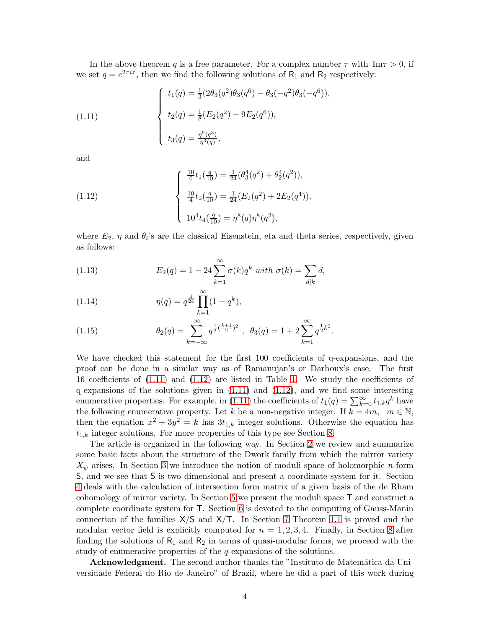In the above theorem q is a free parameter. For a complex number  $\tau$  with Im $\tau > 0$ , if we set  $q = e^{2\pi i \tau}$ , then we find the following solutions of R<sub>1</sub> and R<sub>2</sub> respectively:

<span id="page-3-0"></span>(1.11) 
$$
\begin{cases}\n t_1(q) = \frac{1}{3}(2\theta_3(q^2)\theta_3(q^6) - \theta_3(-q^2)\theta_3(-q^6)), \\
 t_2(q) = \frac{1}{8}(E_2(q^2) - 9E_2(q^6)), \\
 t_3(q) = \frac{\eta^9(q^3)}{\eta^3(q)},\n\end{cases}
$$

and

<span id="page-3-1"></span>(1.12) 
$$
\begin{cases} \frac{10}{6}t_1(\frac{q}{10}) = \frac{1}{24}(\theta_3^4(q^2) + \theta_2^4(q^2)), \\ \frac{10}{4}t_2(\frac{q}{10}) = \frac{1}{24}(E_2(q^2) + 2E_2(q^4)), \\ 10^4t_4(\frac{q}{10}) = \eta^8(q)\eta^8(q^2), \end{cases}
$$

where  $E_2$ ,  $\eta$  and  $\theta_i$ 's are the classical Eisenstein, eta and theta series, respectively, given as follows:

(1.13) 
$$
E_2(q) = 1 - 24 \sum_{k=1}^{\infty} \sigma(k) q^k \text{ with } \sigma(k) = \sum_{d|k} d,
$$

(1.14) 
$$
\eta(q) = q^{\frac{1}{24}} \prod_{k=1}^{\infty} (1 - q^k),
$$

(1.15) 
$$
\theta_2(q) = \sum_{k=-\infty}^{\infty} q^{\frac{1}{2}(\frac{k+1}{2})^2}, \ \theta_3(q) = 1 + 2 \sum_{k=1}^{\infty} q^{\frac{1}{2}k^2}.
$$

We have checked this statement for the first 100 coefficients of q-expansions, and the proof can be done in a similar way as of Ramanujan's or Darboux's case. The first 16 coefficients of [\(1.11\)](#page-3-0) and [\(1.12\)](#page-3-1) are listed in Table [1.](#page-17-0) We study the coefficients of  $q$ -expansions of the solutions given in  $(1.11)$  and  $(1.12)$ , and we find some interesting enumerative properties. For example, in [\(1.11\)](#page-3-0) the coefficients of  $t_1(q) = \sum_{k=0}^{\infty} t_{1,k}q^k$  have the following enumerative property. Let k be a non-negative integer. If  $k = 4m$ ,  $m \in \mathbb{N}$ , then the equation  $x^2 + 3y^2 = k$  has  $3t_{1,k}$  integer solutions. Otherwise the equation has  $t_{1,k}$  integer solutions. For more properties of this type see Section [8.](#page-15-0)

The article is organized in the following way. In Section [2](#page-4-0) we review and summarize some basic facts about the structure of the Dwork family from which the mirror variety  $X_{\psi}$  arises. In Section [3](#page-5-0) we introduce the notion of moduli space of holomorphic *n*-form S, and we see that S is two dimensional and present a coordinate system for it. Section [4](#page-6-0) deals with the calculation of intersection form matrix of a given basis of the de Rham cohomology of mirror variety. In Section [5](#page-9-0) we present the moduli space T and construct a complete coordinate system for T. Section [6](#page-11-0) is devoted to the computing of Gauss-Manin connection of the families  $X/S$  and  $X/T$ . In Section [7](#page-12-0) Theorem [1.1](#page-1-0) is proved and the modular vector field is explicitly computed for  $n = 1, 2, 3, 4$ . Finally, in Section [8](#page-15-0) after finding the solutions of  $R_1$  and  $R_2$  in terms of quasi-modular forms, we proceed with the study of enumerative properties of the *q*-expansions of the solutions.

Acknowledgment. The second author thanks the "Instituto de Matemática da Universidade Federal do Rio de Janeiro" of Brazil, where he did a part of this work during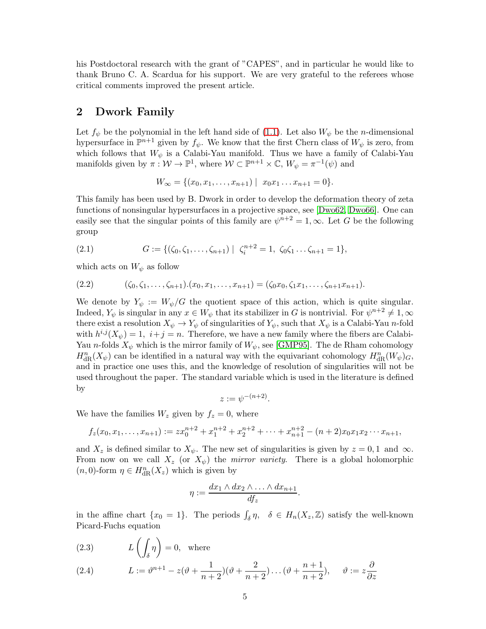his Postdoctoral research with the grant of "CAPES", and in particular he would like to thank Bruno C. A. Scardua for his support. We are very grateful to the referees whose critical comments improved the present article.

### <span id="page-4-0"></span>2 Dwork Family

Let  $f_{\psi}$  be the polynomial in the left hand side of [\(1.1\)](#page-0-3). Let also  $W_{\psi}$  be the *n*-dimensional hypersurface in  $\mathbb{P}^{n+1}$  given by  $f_{\psi}$ . We know that the first Chern class of  $W_{\psi}$  is zero, from which follows that  $W_{\psi}$  is a Calabi-Yau manifold. Thus we have a family of Calabi-Yau manifolds given by  $\pi: \mathcal{W} \to \mathbb{P}^1$ , where  $\mathcal{W} \subset \mathbb{P}^{n+1} \times \mathbb{C}$ ,  $W_{\psi} = \pi^{-1}(\psi)$  and

$$
W_{\infty} = \{ (x_0, x_1, \dots, x_{n+1}) \mid x_0 x_1 \dots x_{n+1} = 0 \}.
$$

This family has been used by B. Dwork in order to develop the deformation theory of zeta functions of nonsingular hypersurfaces in a projective space, see [\[Dwo62,](#page-19-10) [Dwo66\]](#page-20-12). One can easily see that the singular points of this family are  $\psi^{n+2} = 1, \infty$ . Let G be the following group

<span id="page-4-1"></span>(2.1) 
$$
G := \{(\zeta_0, \zeta_1, \ldots, \zeta_{n+1}) \mid \zeta_i^{n+2} = 1, \zeta_0 \zeta_1 \ldots \zeta_{n+1} = 1\},\
$$

which acts on  $W_{\psi}$  as follow

<span id="page-4-2"></span>
$$
(2.2) \qquad (\zeta_0, \zeta_1, \ldots, \zeta_{n+1}).(x_0, x_1, \ldots, x_{n+1}) = (\zeta_0 x_0, \zeta_1 x_1, \ldots, \zeta_{n+1} x_{n+1}).
$$

We denote by  $Y_{\psi} := W_{\psi}/G$  the quotient space of this action, which is quite singular. Indeed,  $Y_{\psi}$  is singular in any  $x \in W_{\psi}$  that its stabilizer in G is nontrivial. For  $\psi^{n+2} \neq 1, \infty$ there exist a resolution  $X_{\psi} \to Y_{\psi}$  of singularities of  $Y_{\psi}$ , such that  $X_{\psi}$  is a Calabi-Yau *n*-fold with  $h^{i,j}(X_{\psi}) = 1$ ,  $i + j = n$ . Therefore, we have a new family where the fibers are Calabi-Yau *n*-folds  $X_{\psi}$  which is the mirror family of  $W_{\psi}$ , see [\[GMP95\]](#page-20-5). The de Rham cohomology  $H_{\text{dR}}^n(X_\psi)$  can be identified in a natural way with the equivariant cohomology  $H_{\text{dR}}^n(W_\psi)$ <sub>G</sub>, and in practice one uses this, and the knowledge of resolution of singularities will not be used throughout the paper. The standard variable which is used in the literature is defined by

$$
z := \psi^{-(n+2)}.
$$

We have the families  $W_z$  given by  $f_z = 0$ , where

$$
f_z(x_0, x_1, \ldots, x_{n+1}) := z x_0^{n+2} + x_1^{n+2} + x_2^{n+2} + \cdots + x_{n+1}^{n+2} - (n+2)x_0 x_1 x_2 \cdots x_{n+1},
$$

and  $X_z$  is defined similar to  $X_{\psi}$ . The new set of singularities is given by  $z = 0, 1$  and  $\infty$ . From now on we call  $X_z$  (or  $X_{\psi}$ ) the *mirror variety*. There is a global holomorphic  $(n, 0)$ -form  $\eta \in H_{\text{dR}}^n(X_z)$  which is given by

$$
\eta := \frac{dx_1 \wedge dx_2 \wedge \ldots \wedge dx_{n+1}}{df_z}.
$$

in the affine chart  $\{x_0 = 1\}$ . The periods  $\int_{\delta} \eta$ ,  $\delta \in H_n(X_z, \mathbb{Z})$  satisfy the well-known Picard-Fuchs equation

<span id="page-4-3"></span>(2.3) 
$$
L\left(\int_{\delta}\eta\right) = 0, \text{ where}
$$

(2.4) 
$$
L := \vartheta^{n+1} - z(\vartheta + \frac{1}{n+2})(\vartheta + \frac{2}{n+2})\dots(\vartheta + \frac{n+1}{n+2}), \quad \vartheta := z\frac{\partial}{\partial z}
$$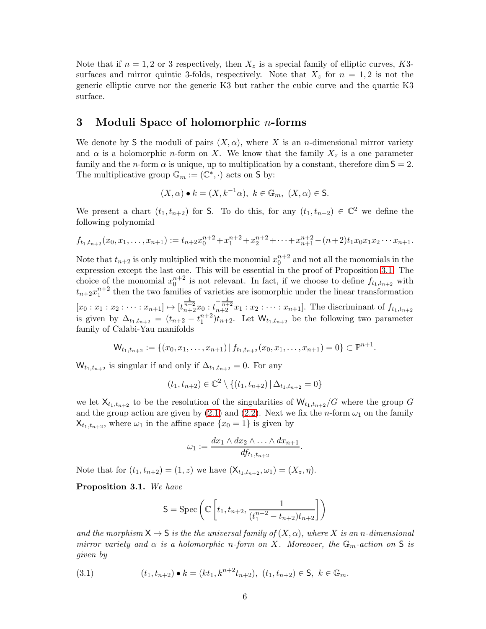Note that if  $n = 1, 2$  or 3 respectively, then  $X_z$  is a special family of elliptic curves, K3surfaces and mirror quintic 3-folds, respectively. Note that  $X<sub>z</sub>$  for  $n = 1, 2$  is not the generic elliptic curve nor the generic K3 but rather the cubic curve and the quartic K3 surface.

### <span id="page-5-0"></span>3 Moduli Space of holomorphic n-forms

We denote by S the moduli of pairs  $(X, \alpha)$ , where X is an *n*-dimensional mirror variety and  $\alpha$  is a holomorphic *n*-form on X. We know that the family  $X_z$  is a one parameter family and the n-form  $\alpha$  is unique, up to multiplication by a constant, therefore dim  $S = 2$ . The multiplicative group  $\mathbb{G}_m := (\mathbb{C}^*, \cdot)$  acts on S by:

$$
(X,\alpha) \bullet k = (X, k^{-1}\alpha), \ k \in \mathbb{G}_m, \ (X,\alpha) \in \mathsf{S}.
$$

We present a chart  $(t_1, t_{n+2})$  for S. To do this, for any  $(t_1, t_{n+2}) \in \mathbb{C}^2$  we define the following polynomial

$$
f_{t_1,t_{n+2}}(x_0,x_1,\ldots,x_{n+1}) := t_{n+2}x_0^{n+2} + x_1^{n+2} + x_2^{n+2} + \cdots + x_{n+1}^{n+2} - (n+2)t_1x_0x_1x_2\cdots x_{n+1}.
$$

Note that  $t_{n+2}$  is only multiplied with the monomial  $x_0^{n+2}$  and not all the monomials in the expression except the last one. This will be essential in the proof of Proposition [3.1.](#page-5-1) The choice of the monomial  $x_0^{n+2}$  is not relevant. In fact, if we choose to define  $f_{t_1,t_{n+2}}$  with  $t_{n+2}x_1^{n+2}$  then the two families of varieties are isomorphic under the linear transformation  $[x_0 : x_1 : x_2 : \cdots : x_{n+1}] \mapsto [t_{n+2}^{\frac{1}{n+2}} x_0 : t_{n+2}^{-\frac{1}{n+2}} x_1 : x_2 : \cdots : x_{n+1}]$ . The discriminant of  $f_{t_1,t_{n+2}}$ is given by  $\Delta_{t_1,t_{n+2}} = (t_{n+2} - t_1^{n+2})t_{n+2}$ . Let  $\mathsf{W}_{t_1,t_{n+2}}$  be the following two parameter family of Calabi-Yau manifolds

$$
\mathsf{W}_{t_1,t_{n+2}} := \{ (x_0,x_1,\ldots,x_{n+1}) \,|\, f_{t_1,t_{n+2}}(x_0,x_1,\ldots,x_{n+1}) = 0 \} \subset \mathbb{P}^{n+1}.
$$

 $W_{t_1,t_{n+2}}$  is singular if and only if  $\Delta_{t_1,t_{n+2}} = 0$ . For any

$$
(t_1, t_{n+2}) \in \mathbb{C}^2 \setminus \{(t_1, t_{n+2}) \mid \Delta_{t_1, t_{n+2}} = 0\}
$$

we let  $X_{t_1,t_{n+2}}$  to be the resolution of the singularities of  $W_{t_1,t_{n+2}}/G$  where the group G and the group action are given by  $(2.1)$  and  $(2.2)$ . Next we fix the *n*-form  $\omega_1$  on the family  $X_{t_1,t_{n+2}}$ , where  $\omega_1$  in the affine space  $\{x_0 = 1\}$  is given by

$$
\omega_1 := \frac{dx_1 \wedge dx_2 \wedge \ldots \wedge dx_{n+1}}{dt_{t_1,t_{n+2}}}.
$$

Note that for  $(t_1, t_{n+2}) = (1, z)$  we have  $(X_{t_1, t_{n+2}}, \omega_1) = (X_z, \eta)$ .

<span id="page-5-1"></span>Proposition 3.1. We have

$$
\mathsf{S} = \mathrm{Spec} \left( \mathbb{C} \left[ t_1, t_{n+2}, \frac{1}{(t_1^{n+2} - t_{n+2})t_{n+2}} \right] \right)
$$

and the morphism  $X \to S$  is the the universal family of  $(X, \alpha)$ , where X is an n-dimensional mirror variety and  $\alpha$  is a holomorphic n-form on X. Moreover, the  $\mathbb{G}_m$ -action on S is given by

(3.1) 
$$
(t_1, t_{n+2}) \bullet k = (kt_1, k^{n+2}t_{n+2}), (t_1, t_{n+2}) \in \mathsf{S}, k \in \mathbb{G}_m.
$$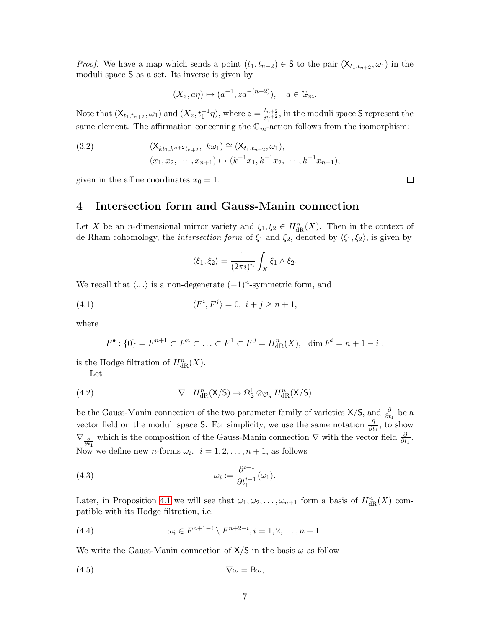*Proof.* We have a map which sends a point  $(t_1, t_{n+2}) \in S$  to the pair  $(X_{t_1,t_{n+2}}, \omega_1)$  in the moduli space S as a set. Its inverse is given by

$$
(X_z, a\eta) \mapsto (a^{-1}, za^{-(n+2)}), \quad a \in \mathbb{G}_m.
$$

Note that  $(X_{t_1,t_{n+2}}, \omega_1)$  and  $(X_z, t_1^{-1}\eta)$ , where  $z = \frac{t_{n+2}}{t_n^{n+2}}$  $\frac{t_{n+2}}{t_1^{n+2}}$ , in the moduli space S represent the same element. The affirmation concerning the  $\mathbb{G}_m$ -action follows from the isomorphism:

<span id="page-6-5"></span>(3.2) 
$$
(\mathsf{X}_{kt_1,k^{n+2}t_{n+2}}, k\omega_1) \cong (\mathsf{X}_{t_1,t_{n+2}}, \omega_1), (x_1, x_2, \cdots, x_{n+1}) \mapsto (k^{-1}x_1, k^{-1}x_2, \cdots, k^{-1}x_{n+1}),
$$

<span id="page-6-0"></span>given in the affine coordinates  $x_0 = 1$ .

### 4 Intersection form and Gauss-Manin connection

Let X be an *n*-dimensional mirror variety and  $\xi_1, \xi_2 \in H_{\text{dR}}^n(X)$ . Then in the context of de Rham cohomology, the *intersection form* of  $\xi_1$  and  $\xi_2$ , denoted by  $\langle \xi_1, \xi_2 \rangle$ , is given by

<span id="page-6-1"></span>
$$
\langle \xi_1, \xi_2 \rangle = \frac{1}{(2\pi i)^n} \int_X \xi_1 \wedge \xi_2.
$$

We recall that  $\langle ., . \rangle$  is a non-degenerate  $(-1)^n$ -symmetric form, and

(4.1) 
$$
\langle F^i, F^j \rangle = 0, \ i + j \ge n + 1,
$$

where

<span id="page-6-2"></span>
$$
F^{\bullet} : \{0\} = F^{n+1} \subset F^n \subset \ldots \subset F^1 \subset F^0 = H^n_{\text{dR}}(X), \quad \dim F^i = n+1-i ,
$$

is the Hodge filtration of  $H^n_{\text{dR}}(X)$ .

Let

(4.2) 
$$
\nabla: H_{\text{dR}}^n(\mathsf{X}/\mathsf{S}) \to \Omega_{\mathsf{S}}^1 \otimes_{\mathcal{O}_{\mathsf{S}}} H_{\text{dR}}^n(\mathsf{X}/\mathsf{S})
$$

be the Gauss-Manin connection of the two parameter family of varieties  $X/S$ , and  $\frac{\partial}{\partial t_1}$  be a vector field on the moduli space S. For simplicity, we use the same notation  $\frac{\partial}{\partial t_1}$ , to show  $\nabla_{\frac{\partial}{\partial t_1}}$  which is the composition of the Gauss-Manin connection  $\nabla$  with the vector field  $\frac{\partial}{\partial t_1}$ . Now we define new *n*-forms  $\omega_i$ ,  $i = 1, 2, ..., n + 1$ , as follows

(4.3) 
$$
\omega_i := \frac{\partial^{i-1}}{\partial t_1^{i-1}}(\omega_1).
$$

Later, in Proposition [4.1](#page-7-0) we will see that  $\omega_1, \omega_2, \ldots, \omega_{n+1}$  form a basis of  $H^n_{\text{dR}}(X)$  compatible with its Hodge filtration, i.e.

(4.4) 
$$
\omega_i \in F^{n+1-i} \setminus F^{n+2-i}, i = 1, 2, ..., n+1.
$$

We write the Gauss-Manin connection of  $X/S$  in the basis  $\omega$  as follow

$$
\nabla \omega = \mathsf{B}\omega,
$$

<span id="page-6-4"></span><span id="page-6-3"></span>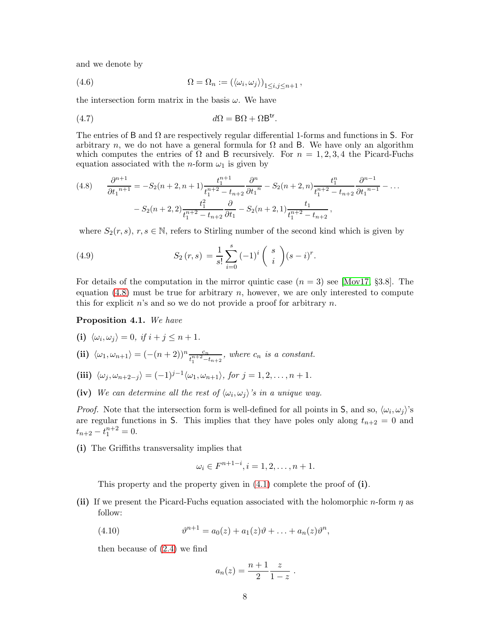and we denote by

(4.6) 
$$
\Omega = \Omega_n := (\langle \omega_i, \omega_j \rangle)_{1 \leq i, j \leq n+1},
$$

the intersection form matrix in the basis  $\omega$ . We have

$$
d\Omega = B\Omega + \Omega B^{tr}.
$$

The entries of B and  $\Omega$  are respectively regular differential 1-forms and functions in S. For arbitrary n, we do not have a general formula for  $\Omega$  and B. We have only an algorithm which computes the entries of  $\Omega$  and B recursively. For  $n = 1, 2, 3, 4$  the Picard-Fuchs equation associated with the *n*-form  $\omega_1$  is given by

<span id="page-7-1"></span>
$$
(4.8) \qquad \frac{\partial^{n+1}}{\partial t_1^{n+1}} = -S_2(n+2, n+1) \frac{t_1^{n+1}}{t_1^{n+2} - t_{n+2}} \frac{\partial^n}{\partial t_1^n} - S_2(n+2, n) \frac{t_1^n}{t_1^{n+2} - t_{n+2}} \frac{\partial^{n-1}}{\partial t_1^{n-1}} - \dots - S_2(n+2, 2) \frac{t_1^2}{t_1^{n+2} - t_{n+2}} \frac{\partial}{\partial t_1} - S_2(n+2, 1) \frac{t_1}{t_1^{n+2} - t_{n+2}},
$$

where  $S_2(r, s)$ ,  $r, s \in \mathbb{N}$ , refers to Stirling number of the second kind which is given by

<span id="page-7-2"></span>(4.9) 
$$
S_2(r,s) = \frac{1}{s!} \sum_{i=0}^{s} (-1)^i {s \choose i} (s-i)^r.
$$

For details of the computation in the mirror quintic case  $(n = 3)$  see [\[Mov17,](#page-20-1) §3.8]. The equation  $(4.8)$  must be true for arbitrary n, however, we are only interested to compute this for explicit  $n$ 's and so we do not provide a proof for arbitrary  $n$ .

#### <span id="page-7-0"></span>Proposition 4.1. We have

(i) 
$$
\langle \omega_i, \omega_j \rangle = 0
$$
, if  $i + j \leq n + 1$ .

(ii) 
$$
\langle \omega_1, \omega_{n+1} \rangle = \left( - (n+2) \right)^n \frac{c_n}{t_1^{n+2} - t_{n+2}},
$$
 where  $c_n$  is a constant.

- (iii)  $\langle \omega_j, \omega_{n+2-j} \rangle = (-1)^{j-1} \langle \omega_1, \omega_{n+1} \rangle$ , for  $j = 1, 2, \dots, n+1$ .
- (iv) We can determine all the rest of  $\langle \omega_i, \omega_j \rangle$  is in a unique way.

*Proof.* Note that the intersection form is well-defined for all points in S, and so,  $\langle \omega_i, \omega_j \rangle$ 's are regular functions in S. This implies that they have poles only along  $t_{n+2} = 0$  and  $t_{n+2} - t_1^{n+2} = 0.$ 

(i) The Griffiths transversality implies that

$$
\omega_i \in F^{n+1-i}, i = 1, 2, \dots, n+1.
$$

This property and the property given in [\(4.1\)](#page-6-1) complete the proof of (i).

(ii) If we present the Picard-Fuchs equation associated with the holomorphic  $n$ -form  $\eta$  as follow:

(4.10) 
$$
\vartheta^{n+1} = a_0(z) + a_1(z)\vartheta + \ldots + a_n(z)\vartheta^n,
$$

then because of [\(2.4\)](#page-4-3) we find

$$
a_n(z) = \frac{n+1}{2} \frac{z}{1-z} .
$$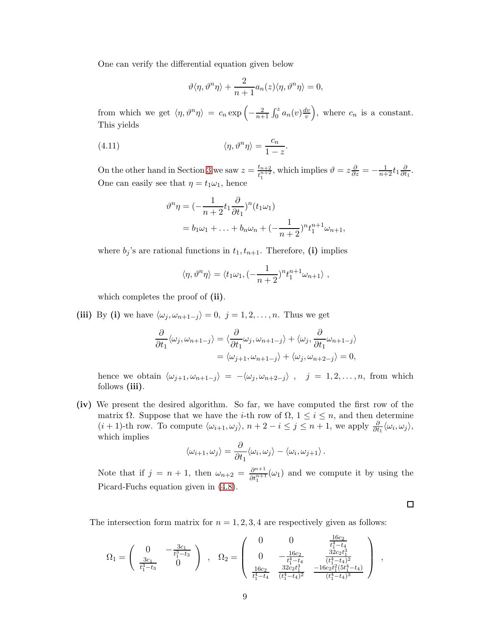One can verify the differential equation given below

$$
\vartheta\langle \eta, \vartheta^n \eta \rangle + \frac{2}{n+1} a_n(z) \langle \eta, \vartheta^n \eta \rangle = 0,
$$

from which we get  $\langle \eta, \vartheta^n \eta \rangle = c_n \exp \left(-\frac{2}{n+1} \int_0^z a_n(v) \frac{dv}{v}\right)$  $(v<sub>v</sub>)$ , where  $c_n$  is a constant. This yields

(4.11) 
$$
\langle \eta, \vartheta^n \eta \rangle = \frac{c_n}{1-z}.
$$

On the other hand in Section [3](#page-5-0) we saw  $z = \frac{t_{n+2}}{n+2}$  $\frac{t_{n+2}}{t_1^{n+2}}$ , which implies  $\vartheta = z \frac{\partial}{\partial z} = -\frac{1}{n+2} t_1 \frac{\partial}{\partial t}$  $\frac{\partial}{\partial t_1}$ . One can easily see that  $\eta = t_1 \omega_1$ , hence

$$
\vartheta^n \eta = \left(-\frac{1}{n+2}t_1 \frac{\partial}{\partial t_1}\right)^n (t_1 \omega_1)
$$
  
=  $b_1 \omega_1 + \ldots + b_n \omega_n + \left(-\frac{1}{n+2}\right)^n t_1^{n+1} \omega_{n+1},$ 

where  $b_j$ 's are rational functions in  $t_1, t_{n+1}$ . Therefore, (i) implies

$$
\langle \eta, \vartheta^n \eta \rangle = \langle t_1 \omega_1, (-\frac{1}{n+2})^n t_1^{n+1} \omega_{n+1} \rangle ,
$$

which completes the proof of (ii).

(iii) By (i) we have  $\langle \omega_j, \omega_{n+1-j} \rangle = 0, j = 1, 2, \ldots, n$ . Thus we get

$$
\frac{\partial}{\partial t_1} \langle \omega_j, \omega_{n+1-j} \rangle = \langle \frac{\partial}{\partial t_1} \omega_j, \omega_{n+1-j} \rangle + \langle \omega_j, \frac{\partial}{\partial t_1} \omega_{n+1-j} \rangle
$$
  
=  $\langle \omega_{j+1}, \omega_{n+1-j} \rangle + \langle \omega_j, \omega_{n+2-j} \rangle = 0,$ 

hence we obtain  $\langle \omega_{j+1}, \omega_{n+1-j} \rangle = -\langle \omega_j, \omega_{n+2-j} \rangle$ ,  $j = 1, 2, ..., n$ , from which follows (iii).

(iv) We present the desired algorithm. So far, we have computed the first row of the matrix  $\Omega$ . Suppose that we have the *i*-th row of  $\Omega$ ,  $1 \leq i \leq n$ , and then determine  $(i + 1)$ -th row. To compute  $\langle \omega_{i+1}, \omega_j \rangle$ ,  $n + 2 - i \leq j \leq n + 1$ , we apply  $\frac{\partial}{\partial t_1} \langle \omega_i, \omega_j \rangle$ , which implies

$$
\langle \omega_{i+1}, \omega_j \rangle = \frac{\partial}{\partial t_1} \langle \omega_i, \omega_j \rangle - \langle \omega_i, \omega_{j+1} \rangle.
$$

Note that if  $j = n + 1$ , then  $\omega_{n+2} = \frac{\partial^{n+1}}{\partial t^{n+1}}$  $\frac{\partial^{n+1}}{\partial t_1^{n+1}}(\omega_1)$  and we compute it by using the Picard-Fuchs equation given in [\(4.8\)](#page-7-1).

The intersection form matrix for  $n = 1, 2, 3, 4$  are respectively given as follows:

$$
\Omega_1 = \left( \begin{array}{cc} 0 & -\frac{3c_1}{t_1^3 - t_3} \\ \frac{3c_1}{t_1^3 - t_3} & 0 \end{array} \right) \ , \quad \Omega_2 = \left( \begin{array}{cc} 0 & 0 & \frac{16c_2}{t_1^4 - t_4} \\ 0 & -\frac{16c_2}{t_1^4 - t_4} & \frac{32c_2t_1^3}{(t_1^4 - t_4)^2} \\ \frac{16c_2}{t_1^4 - t_4} & \frac{32c_2t_1^2}{(t_1^4 - t_4)^2} & \frac{-16c_2t_1^2(5t_1^4 - t_4)}{(t_1^4 - t_4)^3} \end{array} \right) \ ,
$$

 $\Box$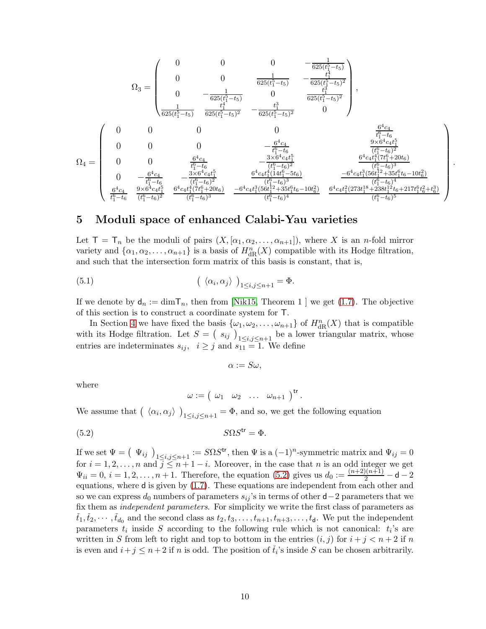$$
\Omega_3=\left(\begin{array}{cccccc} 0 & 0 & 0 & -\frac{1}{625(t_1^5-t_5)} & -\frac{1}{625(t_1^5-t_5)} \\ 0 & 0 & \frac{1}{625(t_1^5-t_5)} & -\frac{t_1^4}{625(t_1^5-t_5)^2} \\ 0 & -\frac{1}{625(t_1^5-t_5)} & 0 & \frac{t_1^4}{625(t_1^5-t_5)^2} \\ \frac{1}{625(t_1^5-t_5)} & \frac{t_1^4}{625(t_1^5-t_5)^2} & -\frac{t_1^3}{625(t_1^5-t_5)^2} & 0 \end{array}\right),
$$
\n
$$
\Omega_4=\left(\begin{array}{cccccc} 0 & 0 & 0 & 0 & \frac{6^4c_4}{t_1^6-t_6} \\ 0 & 0 & 0 & 0 & -\frac{6^4c_4}{t_1^6-t_6} & \frac{9\times6^4c_4t_1^5}{(t_1^6-t_6)^2} \\ 0 & 0 & \frac{6^4c_4}{t_1^6-t_6} & -\frac{3\times6^4c_4t_1^5}{(t_1^6-t_6)^2} & \frac{6^4c_4t_1^4(14t_1^6-5t_6)}{(t_1^6-t_6)^3} & \frac{6^4c_4t_1^4(14t_1^6-5t_6)}{(t_1^6-t_6)^3} & \frac{-6^4c_4t_1^3(56t_1^{12}+35t_1^6t_6-10t_6^2)}{(t_1^6-t_6)^4} & \frac{-6^4c_4t_1^3(56t_1^{12}+35t_1^4t_6-10t_6^2)}{(t_1^6-t_6)^4} & \frac{-6^4c_4t_1^3(56t_1^{12}+35t_1^4t_6-10t_6^2)}{(t_1^6-t_6)^4} & \frac{6^4c_4t_1^2(273t_1^{18}+238t_1^{12}t_6+217t_1^6t_6^2+10t_6^2)}{(t_1^6-t_6)^5} & \frac{6^4c_4t_1^2(273t_
$$

.

### <span id="page-9-0"></span>5 Moduli space of enhanced Calabi-Yau varieties

Let  $\mathsf{T} = \mathsf{T}_n$  be the moduli of pairs  $(X, [\alpha_1, \alpha_2, \ldots, \alpha_{n+1}])$ , where X is an *n*-fold mirror variety and  $\{\alpha_1, \alpha_2, \ldots, \alpha_{n+1}\}\$ is a basis of  $H^n_{\text{dR}}(X)$  compatible with its Hodge filtration, and such that the intersection form matrix of this basis is constant, that is,

(5.1) 
$$
\left(\begin{array}{c} \langle \alpha_i, \alpha_j \rangle \end{array}\right)_{1 \leq i,j \leq n+1} = \Phi.
$$

If we denote by  $d_n := \dim T_n$ , then from [\[Nik15,](#page-20-9) Theorem 1 ] we get [\(1.7\)](#page-2-0). The objective of this section is to construct a coordinate system for T.

In Section [4](#page-6-0) we have fixed the basis  $\{\omega_1, \omega_2, \ldots, \omega_{n+1}\}$  of  $H^n_{\text{dR}}(X)$  that is compatible with its Hodge filtration. Let  $S = (s_{ij})_{1 \le i,j \le n+1}$  be a lower triangular matrix, whose entries are indeterminates  $s_{ij}$ ,  $i \geq j$  and  $s_{11} = 1$ . We define

$$
\alpha := S\omega,
$$

where

<span id="page-9-1"></span>
$$
\omega := \left( \begin{array}{cccc} \omega_1 & \omega_2 & \ldots & \omega_{n+1} \end{array} \right)^{\mathrm{tr}}.
$$

We assume that  $\left(\langle \alpha_i, \alpha_j \rangle \right)_{1 \le i,j \le n+1} = \Phi$ , and so, we get the following equation

(5.2) SΩS tr = Φ.

If we set  $\Psi = (\Psi_{ij})_{1 \leq i,j \leq n+1} := S\Omega S^{\text{tr}},$  then  $\Psi$  is a  $(-1)^n$ -symmetric matrix and  $\Psi_{ij} = 0$ for  $i = 1, 2, \ldots, n$  and  $j \leq n + 1 - i$ . Moreover, in the case that n is an odd integer we get  $\Psi_{ii} = 0, i = 1, 2, ..., n + 1$ . Therefore, the equation [\(5.2\)](#page-9-1) gives us  $d_0 := \frac{(n+2)(n+1)}{2} - d - 2$ equations, where d is given by [\(1.7\)](#page-2-0). These equations are independent from each other and so we can express  $d_0$  numbers of parameters  $s_{ij}$ 's in terms of other d−2 parameters that we fix them as *independent parameters*. For simplicity we write the first class of parameters as  $(t_1, t_2, \dots, t_{d_0}$  and the second class as  $t_2, t_3, \dots, t_{n+1}, t_{n+3}, \dots, t_d$ . We put the independent parameters  $t_i$  inside S according to the following rule which is not canonical:  $t_i$ 's are written in S from left to right and top to bottom in the entries  $(i, j)$  for  $i + j < n + 2$  if n is even and  $i + j \leq n+2$  if n is odd. The position of  $\check{t}_i$ 's inside S can be chosen arbitrarily.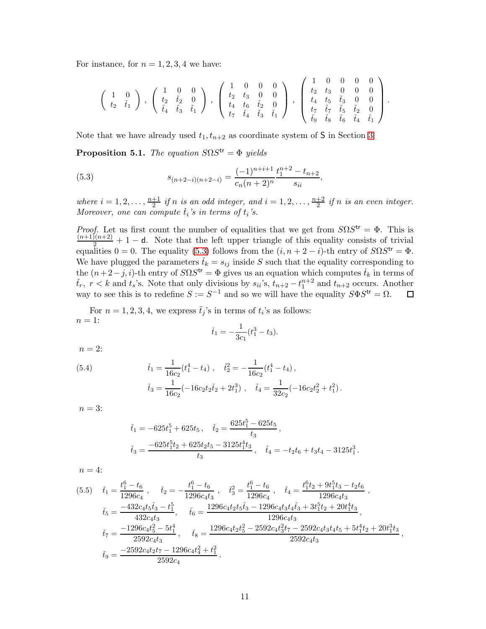For instance, for  $n = 1, 2, 3, 4$  we have:

$$
\left(\begin{array}{cc}1&0\\t_2&\check{t}_1\end{array}\right)\;,\;\left(\begin{array}{ccc}1&0&0\\t_2&\check{t}_2&0\\ \check{t}_4&\check{t}_3&\check{t}_1\end{array}\right)\;,\;\left(\begin{array}{cccc}1&0&0&0\\t_2&t_3&0&0\\t_4&t_6&\check{t}_2&0\\t_7&\check{t}_4&\check{t}_3&\check{t}_1\end{array}\right)\;,\;\left(\begin{array}{cccc}1&0&0&0&0\\t_2&t_3&0&0&0\\t_4&t_5&\check{t}_3&0&0\\t_7&\check{t}_7&\check{t}_7&\check{t}_5&\check{t}_2&0\\ \check{t}_9&\check{t}_8&\check{t}_6&\check{t}_4&\check{t}_1\end{array}\right)\;.
$$

Note that we have already used  $t_1, t_{n+2}$  as coordinate system of S in Section [3.](#page-5-0)

<span id="page-10-1"></span>**Proposition 5.1.** The equation  $S\Omega S^{tr} = \Phi$  yields

<span id="page-10-0"></span>(5.3) 
$$
s_{(n+2-i)(n+2-i)} = \frac{(-1)^{n+i+1}}{c_n(n+2)^n} \frac{t_1^{n+2} - t_{n+2}}{s_{ii}},
$$

where  $i = 1, 2, ..., \frac{n+1}{2}$  $\frac{+1}{2}$  if n is an odd integer, and  $i = 1, 2, \ldots, \frac{n+2}{2}$  $\frac{+2}{2}$  if n is an even integer. Moreover, one can compute  $\check{t}_i$ 's in terms of  $t_i$ 's.

*Proof.* Let us first count the number of equalities that we get from  $S\Omega S^{tr} = \Phi$ . This is  $\frac{(n+1)(n+2)}{2}+1-$ d. Note that the left upper triangle of this equality consists of trivial equalities  $0 = 0$ . The equality [\(5.3\)](#page-10-0) follows from the  $(i, n + 2 - i)$ -th entry of  $S\Omega S^{tr} = \Phi$ . We have plugged the parameters  $\check{t}_k = s_{ij}$  inside S such that the equality corresponding to the  $(n+2-j,i)$ -th entry of  $S\Omega S^{\text{tr}} = \Phi$  gives us an equation which computes  $\check{t}_k$  in terms of  $\check{t}_r$ ,  $r < k$  and  $t_s$ 's. Note that only divisions by  $s_{ii}$ 's,  $t_{n+2} - t_1^{n+2}$  and  $t_{n+2}$  occurs. Another way to see this is to redefine  $S := S^{-1}$  and so we will have the equality  $S \Phi S^{\text{tr}} = \Omega$ . 囗

For  $n = 1, 2, 3, 4$ , we express  $\check{t}_j$ 's in terms of  $t_i$ 's as follows:  $n=1$ :

$$
\check{t}_1 = -\frac{1}{3c_1}(t_1^3 - t_3).
$$

 $n=2$ :

<span id="page-10-2"></span>(5.4) 
$$
\dot{t}_1 = \frac{1}{16c_2}(t_1^4 - t_4), \quad \dot{t}_2^2 = -\frac{1}{16c_2}(t_1^4 - t_4), \n\dot{t}_3 = \frac{1}{16c_2}(-16c_2t_2\dot{t}_2 + 2t_1^3), \quad \dot{t}_4 = \frac{1}{32c_2}(-16c_2t_2^2 + t_1^2).
$$

 $n=3$ :

$$
\begin{aligned} \check{t}_1&=-625t_1^5+625t_5\,,\quad \check{t}_2=\frac{625t_1^5-625t_5}{t_3}\,,\\ \check{t}_3&=\frac{-625t_1^5t_2+625t_2t_5-3125t_1^4t_3}{t_3}\,,\quad \check{t}_4&=-t_2t_6+t_3t_4-3125t_1^3\,. \end{aligned}
$$

 $n=4$ :

<span id="page-10-3"></span>
$$
(5.5) \t\t\t\t\t\tilde{t}_1 = \frac{t_1^6 - t_6}{1296c_4}, \t\t\t\t\t\tilde{t}_2 = -\frac{t_1^6 - t_6}{1296c_4t_3}, \t\t\t\t\tilde{t}_3 = \frac{t_1^6 - t_6}{1296c_4}, \t\t\t\t\t\tilde{t}_4 = \frac{t_1^6 t_2 + 9t_1^5 t_3 - t_2 t_6}{1296c_4t_3},
$$
\n
$$
\tilde{t}_5 = \frac{-432c_4 t_5 \tilde{t}_3 - t_1^5}{432c_4 t_3}, \t\t\t\t\t\tilde{t}_6 = \frac{1296c_4 t_2 t_5 \tilde{t}_3 - 1296c_4 t_3 \tilde{t}_4 \tilde{t}_3 + 3t_1^5 t_2 + 20t_1^4 t_3}{1296c_4 t_3},
$$
\n
$$
\tilde{t}_7 = \frac{-1296c_4 t_5^2 - 5t_1^4}{2592c_4 t_3}, \t\t\t\t\tilde{t}_8 = \frac{1296c_4 t_2 t_5^2 - 2592c_4 t_3^2 t_7 - 2592c_4 t_3 t_4 t_5 + 5t_1^4 t_2 + 20t_1^3 t_3}{2592c_4 t_3},
$$
\n
$$
\tilde{t}_9 = \frac{-2592c_4 t_2 t_7 - 1296c_4 t_4^2 + t_1^2}{2592c_4}.
$$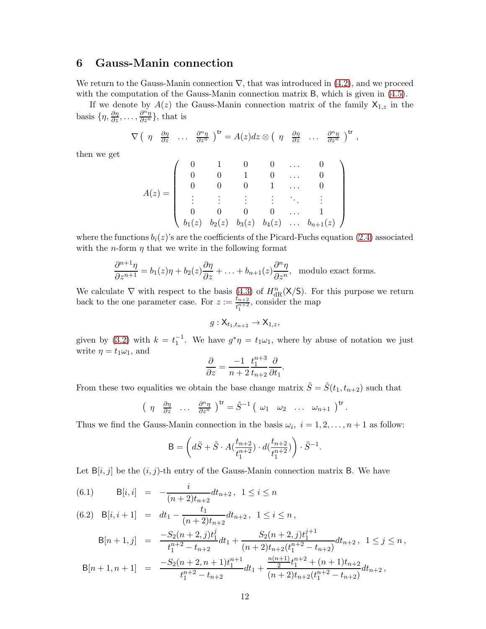## <span id="page-11-0"></span>6 Gauss-Manin connection

We return to the Gauss-Manin connection  $\nabla$ , that was introduced in [\(4.2\)](#page-6-2), and we proceed with the computation of the Gauss-Manin connection matrix B, which is given in  $(4.5)$ .

If we denote by  $A(z)$  the Gauss-Manin connection matrix of the family  $X_{1,z}$  in the basis  $\{\eta, \frac{\partial \eta}{\partial z}, \dots, \frac{\partial^n \eta}{\partial z^n}\},\$  that is

$$
\nabla \left( \eta \quad \frac{\partial \eta}{\partial z} \quad \ldots \quad \frac{\partial^n \eta}{\partial z^n} \right)^{\mathsf{tr}} = A(z) dz \otimes \left( \eta \quad \frac{\partial \eta}{\partial z} \quad \ldots \quad \frac{\partial^n \eta}{\partial z^n} \right)^{\mathsf{tr}},
$$

then we get

$$
A(z)=\left(\begin{array}{ccccc}0&1&0&0&\ldots&0\\0&0&1&0&\ldots&0\\0&0&0&1&\ldots&0\\\vdots&\vdots&\vdots&\vdots&\ddots&\vdots\\0&0&0&0&\ldots&1\\b_1(z)&b_2(z)&b_3(z)&b_4(z)&\ldots&b_{n+1}(z)\\\end{array}\right)
$$

where the functions  $b_i(z)$ 's are the coefficients of the Picard-Fuchs equation [\(2.4\)](#page-4-3) associated with the *n*-form  $\eta$  that we write in the following format

$$
\frac{\partial^{n+1}\eta}{\partial z^{n+1}} = b_1(z)\eta + b_2(z)\frac{\partial \eta}{\partial z} + \ldots + b_{n+1}(z)\frac{\partial^n \eta}{\partial z^n}, \text{ modulo exact forms.}
$$

We calculate  $\nabla$  with respect to the basis [\(4.3\)](#page-6-4) of  $H_{\text{dR}}^n(X/S)$ . For this purpose we return back to the one parameter case. For  $z := \frac{t_{n+2}}{t_n+2}$  $\frac{t_{n+2}}{t_1^{n+2}}$ , consider the map

$$
g: \mathsf{X}_{t_1,t_{n+2}} \to \mathsf{X}_{1,z},
$$

given by [\(3.2\)](#page-6-5) with  $k = t_1^{-1}$ . We have  $g^*\eta = t_1\omega_1$ , where by abuse of notation we just write  $\eta = t_1 \omega_1$ , and

$$
\frac{\partial}{\partial z} = \frac{-1}{n+2} \frac{t_1^{n+3}}{t_{n+2}} \frac{\partial}{\partial t_1}
$$

.

From these two equalities we obtain the base change matrix  $\tilde{S} = \tilde{S}(t_1, t_{n+2})$  such that

$$
\left(\begin{array}{cccc}\eta & \frac{\partial \eta}{\partial z} & \dots & \frac{\partial^n \eta}{\partial z^n}\end{array}\right)^{\mathsf{tr}} = \tilde{S}^{-1}\left(\begin{array}{cccc}\omega_1 & \omega_2 & \dots & \omega_{n+1}\end{array}\right)^{\mathsf{tr}}.
$$

Thus we find the Gauss-Manin connection in the basis  $\omega_i$ ,  $i = 1, 2, ..., n + 1$  as follow:

$$
\mathsf{B} = \left(d\tilde{S} + \tilde{S} \cdot A\left(\frac{t_{n+2}}{t_1^{n+2}}\right) \cdot d\left(\frac{t_{n+2}}{t_1^{n+2}}\right)\right) \cdot \tilde{S}^{-1}.
$$

Let  $B[i, j]$  be the  $(i, j)$ -th entry of the Gauss-Manin connection matrix B. We have

<span id="page-11-1"></span>(6.1) 
$$
B[i, i] = -\frac{i}{(n+2)t_{n+2}} dt_{n+2}, \ 1 \le i \le n
$$

(6.2) 
$$
B[i, i + 1] = dt_1 - \frac{t_1}{(n+2)t_{n+2}} dt_{n+2}, \quad 1 \le i \le n
$$
,

$$
B[n+1,j] = \frac{-S_2(n+2,j)t_1^j}{t_1^{n+2} - t_{n+2}} dt_1 + \frac{S_2(n+2,j)t_1^{j+1}}{(n+2)t_{n+2}(t_1^{n+2} - t_{n+2})} dt_{n+2}, \ 1 \le j \le n,
$$
  
\n
$$
B[n+1,n+1] = \frac{-S_2(n+2,n+1)t_1^{n+1}}{t_1^{n+2} - t_{n+2}} dt_1 + \frac{\frac{n(n+1)}{2}t_1^{n+2} + (n+1)t_{n+2}}{(n+2)t_{n+2}(t_1^{n+2} - t_{n+2})} dt_{n+2},
$$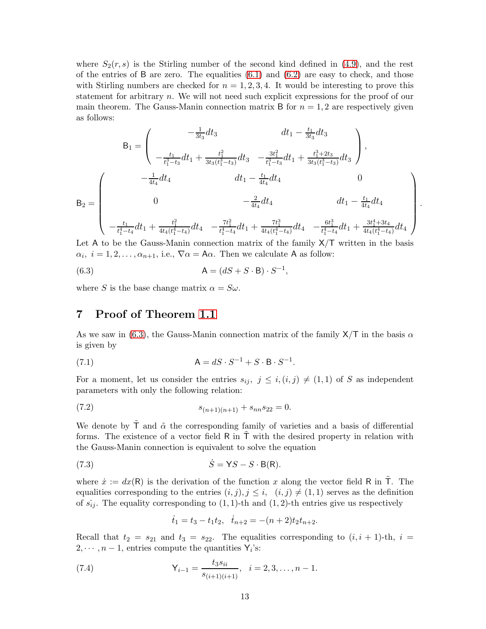where  $S_2(r, s)$  is the Stirling number of the second kind defined in [\(4.9\)](#page-7-2), and the rest of the entries of B are zero. The equalities  $(6.1)$  and  $(6.2)$  are easy to check, and those with Stirling numbers are checked for  $n = 1, 2, 3, 4$ . It would be interesting to prove this statement for arbitrary  $n$ . We will not need such explicit expressions for the proof of our main theorem. The Gauss-Manin connection matrix B for  $n = 1, 2$  are respectively given as follows:

$$
B_{1} = \begin{pmatrix} -\frac{1}{3t_{3}}dt_{3} & dt_{1} - \frac{t_{1}}{3t_{3}}dt_{3} \\ -\frac{t_{1}}{t_{1}^{3}-t_{3}}dt_{1} + \frac{t_{1}^{2}}{3t_{3}(t_{1}^{3}-t_{3})}dt_{3} & -\frac{3t_{1}^{2}}{t_{1}^{3}-t_{3}}dt_{1} + \frac{t_{1}^{3}+2t_{3}}{3t_{3}(t_{1}^{3}-t_{3})}dt_{3} \end{pmatrix},
$$
  
\n
$$
B_{2} = \begin{pmatrix} -\frac{1}{4t_{4}}dt_{4} & dt_{1} - \frac{t_{1}}{4t_{4}}dt_{4} & 0 \\ 0 & -\frac{2}{4t_{4}}dt_{4} & 0 \\ -\frac{t_{1}}{t_{1}^{4}-t_{4}}dt_{1} + \frac{t_{1}^{2}}{4t_{4}(t_{1}^{4}-t_{4})}dt_{4} & -\frac{7t_{1}^{2}}{t_{1}^{4}-t_{4}}dt_{1} + \frac{7t_{1}^{3}}{4t_{4}(t_{1}^{4}-t_{4})}dt_{4} & -\frac{6t_{1}^{3}}{t_{1}^{4}-t_{4}}dt_{1} + \frac{3t_{1}^{4}+3t_{4}}{4t_{4}(t_{1}^{4}-t_{4})}dt_{4} \end{pmatrix}.
$$

Let A to be the Gauss-Manin connection matrix of the family  $X/T$  written in the basis  $\alpha_i, i = 1, 2, \ldots, \alpha_{n+1}$ , i.e.,  $\nabla \alpha = A\alpha$ . Then we calculate A as follow:

<span id="page-12-1"></span>
$$
(6.3) \qquad \qquad \mathsf{A} = (dS + S \cdot \mathsf{B}) \cdot S^{-1},
$$

<span id="page-12-0"></span>where S is the base change matrix  $\alpha = S\omega$ .

## 7 Proof of Theorem [1.1](#page-1-0)

As we saw in [\(6.3\)](#page-12-1), the Gauss-Manin connection matrix of the family  $X/T$  in the basis  $\alpha$ is given by

(7.1) 
$$
A = dS \cdot S^{-1} + S \cdot B \cdot S^{-1}.
$$

For a moment, let us consider the entries  $s_{ij}$ ,  $j \leq i, (i, j) \neq (1, 1)$  of S as independent parameters with only the following relation:

$$
(7.2) \t\t s_{(n+1)(n+1)} + s_{nn}s_{22} = 0.
$$

We denote by  $\tilde{T}$  and  $\tilde{\alpha}$  the corresponding family of varieties and a basis of differential forms. The existence of a vector field  $\mathsf R$  in  $\mathsf T$  with the desired property in relation with the Gauss-Manin connection is equivalent to solve the equation

$$
(7.3) \t\t\t \dot{S} = \mathsf{Y}S - S \cdot \mathsf{B}(\mathsf{R}).
$$

where  $\dot{x} := dx(R)$  is the derivation of the function x along the vector field R in  $\tilde{T}$ . The equalities corresponding to the entries  $(i, j), j \leq i, (i, j) \neq (1, 1)$  serves as the definition of  $\dot{s}_{ij}$ . The equality corresponding to  $(1, 1)$ -th and  $(1, 2)$ -th entries give us respectively

<span id="page-12-3"></span><span id="page-12-2"></span>
$$
\dot{t}_1 = t_3 - t_1 t_2, \quad \dot{t}_{n+2} = -(n+2)t_2 t_{n+2}.
$$

Recall that  $t_2 = s_{21}$  and  $t_3 = s_{22}$ . The equalities corresponding to  $(i, i + 1)$ -th,  $i =$  $2, \dots, n-1$ , entries compute the quantities  $Y_i$ 's:

(7.4) 
$$
\mathsf{Y}_{i-1} = \frac{t_3 s_{ii}}{s_{(i+1)(i+1)}}, \quad i = 2, 3, \dots, n-1.
$$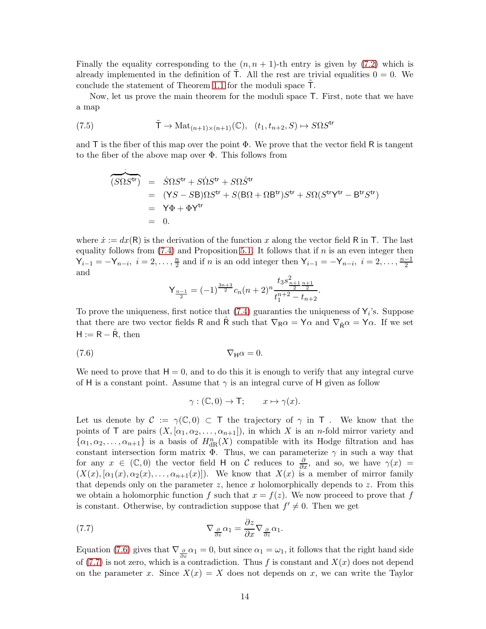Finally the equality corresponding to the  $(n, n + 1)$ -th entry is given by [\(7.2\)](#page-12-2) which is already implemented in the definition of  $\mathsf{T}$ . All the rest are trivial equalities  $0 = 0$ . We conclude the statement of Theorem [1.1](#page-1-0) for the moduli space  $\mathsf{T}$ .

Now, let us prove the main theorem for the moduli space T. First, note that we have a map

(7.5) 
$$
\tilde{\mathsf{T}} \to \mathrm{Mat}_{(n+1)\times(n+1)}(\mathbb{C}), \quad (t_1, t_{n+2}, S) \mapsto S\Omega S^{\mathsf{tr}}
$$

and T is the fiber of this map over the point  $\Phi$ . We prove that the vector field R is tangent to the fiber of the above map over Φ. This follows from

$$
\begin{aligned}\n\widehat{(S\Omega S^{\text{tr}})} &= \dot{S}\Omega S^{\text{tr}} + S\dot{\Omega} S^{\text{tr}} + S\Omega \dot{S}^{\text{tr}} \\
&= (YS - S\mathsf{B})\Omega S^{\text{tr}} + S(\mathsf{B}\Omega + \Omega \mathsf{B}^{\text{tr}}) S^{\text{tr}} + S\Omega (S^{\text{tr}} \mathsf{Y}^{\text{tr}} - \mathsf{B}^{\text{tr}} S^{\text{tr}}) \\
&= \mathsf{Y} \Phi + \Phi \mathsf{Y}^{\text{tr}} \\
&= 0.\n\end{aligned}
$$

where  $\dot{x} := dx(R)$  is the derivation of the function x along the vector field R in T. The last equality follows from  $(7.4)$  and Proposition [5.1.](#page-10-1) It follows that if n is an even integer then  $Y_{i-1} = -Y_{n-i}, i = 2, \ldots, \frac{n}{2}$  $\frac{n}{2}$  and if *n* is an odd integer then  $\mathsf{Y}_{i-1} = -\mathsf{Y}_{n-i}, i = 2, \ldots, \frac{n-1}{2}$ and

$$
\mathsf{Y}_{\frac{n-1}{2}} = (-1)^{\frac{3n+3}{2}} c_n (n+2)^n \frac{t_3 s_{\frac{n+1}{2}\frac{n+1}{2}}^2}{t_1^{n+2} - t_{n+2}}.
$$

To prove the uniqueness, first notice that  $(7.4)$  guaranties the uniqueness of  $Y_i$ 's. Suppose that there are two vector fields R and  $\hat{R}$  such that  $\nabla_R \alpha = Y \alpha$  and  $\nabla_{\hat{R}} \alpha = Y \alpha$ . If we set  $H := R - \hat{R}$ , then

$$
\nabla_{\mathsf{H}}\alpha = 0.
$$

.

We need to prove that  $H = 0$ , and to do this it is enough to verify that any integral curve of H is a constant point. Assume that  $\gamma$  is an integral curve of H given as follow

<span id="page-13-1"></span><span id="page-13-0"></span>
$$
\gamma : (\mathbb{C}, 0) \to \mathsf{T}; \qquad x \mapsto \gamma(x).
$$

Let us denote by  $\mathcal{C} := \gamma(\mathbb{C}, 0) \subset \mathsf{T}$  the trajectory of  $\gamma$  in T. We know that the points of T are pairs  $(X, [\alpha_1, \alpha_2, \ldots, \alpha_{n+1}])$ , in which X is an *n*-fold mirror variety and  $\{\alpha_1, \alpha_2, \ldots, \alpha_{n+1}\}\$ is a basis of  $H^n_{\text{dR}}(X)$  compatible with its Hodge filtration and has constant intersection form matrix  $\overline{\Phi}$ . Thus, we can parameterize  $\gamma$  in such a way that for any  $x \in (\mathbb{C}, 0)$  the vector field H on C reduces to  $\frac{\partial}{\partial x}$ , and so, we have  $\gamma(x)$  =  $(X(x), [\alpha_1(x), \alpha_2(x), \ldots, \alpha_{n+1}(x)]).$  We know that  $X(x)$  is a member of mirror family that depends only on the parameter  $z$ , hence  $x$  holomorphically depends to  $z$ . From this we obtain a holomorphic function f such that  $x = f(z)$ . We now proceed to prove that f is constant. Otherwise, by contradiction suppose that  $f' \neq 0$ . Then we get

(7.7) 
$$
\nabla_{\frac{\partial}{\partial x}} \alpha_1 = \frac{\partial z}{\partial x} \nabla_{\frac{\partial}{\partial z}} \alpha_1.
$$

Equation [\(7.6\)](#page-13-0) gives that  $\nabla \frac{\partial}{\partial x} \alpha_1 = 0$ , but since  $\alpha_1 = \omega_1$ , it follows that the right hand side of [\(7.7\)](#page-13-1) is not zero, which is a contradiction. Thus f is constant and  $X(x)$  does not depend on the parameter x. Since  $X(x) = X$  does not depends on x, we can write the Taylor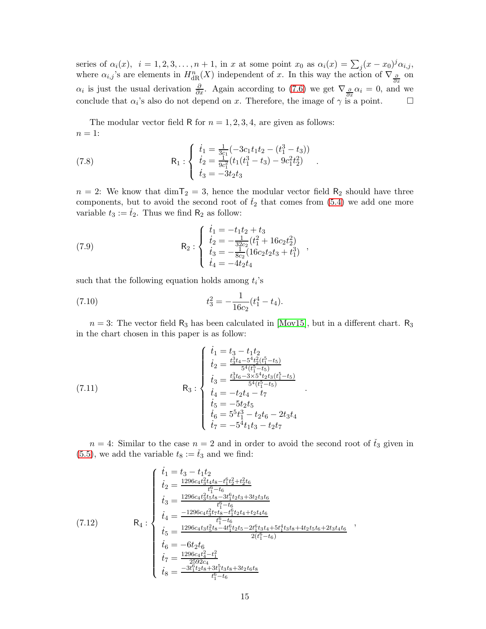series of  $\alpha_i(x)$ ,  $i = 1, 2, 3, \ldots, n + 1$ , in x at some point  $x_0$  as  $\alpha_i(x) = \sum_j (x - x_0)^j \alpha_{i,j}$ , where  $\alpha_{i,j}$ 's are elements in  $H^n_{\text{dR}}(X)$  independent of x. In this way the action of  $\nabla_{\frac{\partial}{\partial x}}$  on  $\alpha_i$  is just the usual derivation  $\frac{\partial}{\partial x}$ . Again according to [\(7.6\)](#page-13-0) we get  $\nabla_{\frac{\partial}{\partial x}} \alpha_i = 0$ , and we conclude that  $\alpha_i$ 's also do not depend on x. Therefore, the image of  $\gamma$  is a point.  $\Box$ 

The modular vector field R for  $n = 1, 2, 3, 4$ , are given as follows:  $n=1$ :

<span id="page-14-0"></span>(7.8) 
$$
R_1: \begin{cases} \dot{t}_1 = \frac{1}{3c_1}(-3c_1t_1t_2 - (t_1^3 - t_3)) \\ \dot{t}_2 = \frac{1}{9c_1^2}(t_1(t_1^3 - t_3) - 9c_1^2t_2^2) \\ \dot{t}_3 = -3t_2t_3 \end{cases}.
$$

 $n = 2$ : We know that  $\dim \mathcal{T}_2 = 3$ , hence the modular vector field  $\mathcal{R}_2$  should have three components, but to avoid the second root of  $\check{t}_2$  that comes from [\(5.4\)](#page-10-2) we add one more variable  $t_3 := \check{t}_2$ . Thus we find  $R_2$  as follow:

<span id="page-14-1"></span>(7.9) 
$$
R_2 : \begin{cases} \dot{t}_1 = -t_1 t_2 + t_3 \\ \dot{t}_2 = -\frac{1}{32c_2} (t_1^2 + 16c_2 t_2^2) \\ \dot{t}_3 = -\frac{1}{8c_2} (16c_2 t_2 t_3 + t_1^3) \\ \dot{t}_4 = -4t_2 t_4 \end{cases},
$$

such that the following equation holds among  $t_i$ 's

<span id="page-14-2"></span>(7.10) 
$$
t_3^2 = -\frac{1}{16c_2}(t_1^4 - t_4).
$$

 $n = 3$ : The vector field R<sub>3</sub> has been calculated in [\[Mov15\]](#page-20-0), but in a different chart. R<sub>3</sub> in the chart chosen in this paper is as follow:

(7.11) 
$$
\mathsf{R}_{3}: \begin{cases} \dot{t}_{1} = t_{3} - t_{1}t_{2} \\ \dot{t}_{2} = \frac{t_{3}^{3}t_{4} - 5^{4}t_{2}^{2}(t_{1}^{5} - t_{5})}{5^{4}(t_{1}^{5} - t_{5})} \\ \dot{t}_{3} = \frac{t_{3}^{3}t_{6} - 3\times5^{4}t_{2}t_{3}(t_{1}^{5} - t_{5})}{5^{4}(t_{1}^{5} - t_{5})} \\ \dot{t}_{4} = -t_{2}t_{4} - t_{7} \\ \dot{t}_{5} = -5t_{2}t_{5} \\ \dot{t}_{6} = 5^{5}t_{1}^{3} - t_{2}t_{6} - 2t_{3}t_{4} \\ \dot{t}_{7} = -5^{4}t_{1}t_{3} - t_{2}t_{7} \end{cases}
$$

 $n = 4$ : Similar to the case  $n = 2$  and in order to avoid the second root of  $\check{t}_3$  given in [\(5.5\)](#page-10-3), we add the variable  $t_8 := \check{t}_3$  and we find:

.

$$
(7.12)
$$
\n
$$
\begin{cases}\n\dot{t}_1 = t_3 - t_1 t_2 \\
\dot{t}_2 = \frac{1296c_4 t_3^2 t_4 t_8 - t_1^6 t_2^2 + t_2^2 t_6}{t_1^6 - t_6} \\
\dot{t}_3 = \frac{1296c_4 t_3^2 t_5 t_8 - 3t_1^6 t_2 t_3 + 3t_2 t_3 t_6}{t_1^6 - t_6} \\
\dot{t}_4 = \frac{-1296c_4 t_3^2 t_7 t_8 - t_1^6 t_2 t_4 + t_2 t_4 t_6}{t_1^6 - t_6} \\
\dot{t}_5 = \frac{1296c_4 t_3 t_5^2 t_8 - 4t_1^6 t_2 t_5 - 2t_1^6 t_3 t_4 + 5t_1^4 t_3 t_8 + 4t_2 t_5 t_6 + 2t_3 t_4 t_6}{2(t_1^6 - t_6)} \\
\dot{t}_6 = -6t_2 t_6 \\
\dot{t}_7 = \frac{1296c_4 t_4^2 - t_1^2}{2592c_4} \\
\dot{t}_8 = \frac{-3t_1^6 t_2 t_8 + 3t_1^5 t_3 t_8 + 3t_2 t_6 t_8}{t_1^6 - t_6}\n\end{cases}
$$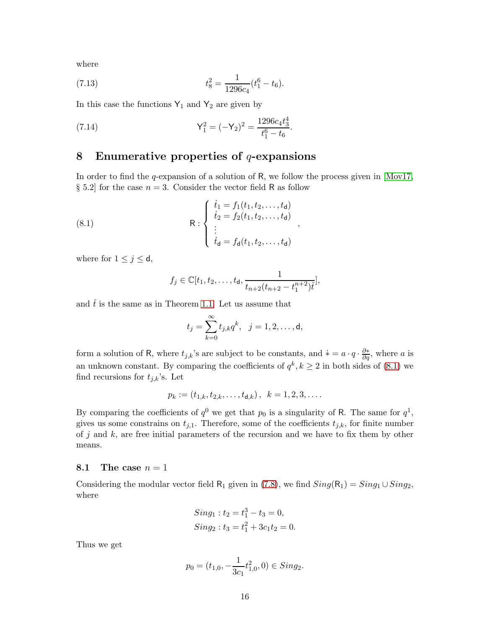where

(7.13) 
$$
t_8^2 = \frac{1}{1296c_4}(t_1^6 - t_6).
$$

In this case the functions  $Y_1$  and  $Y_2$  are given by

<span id="page-15-2"></span>(7.14) 
$$
Y_1^2 = (-Y_2)^2 = \frac{1296c_4t_3^4}{t_1^6 - t_6}.
$$

## <span id="page-15-0"></span>8 Enumerative properties of  $q$ -expansions

In order to find the q-expansion of a solution of R, we follow the process given in  $\text{[Mov17]}$ , § 5.2 for the case  $n = 3$ . Consider the vector field R as follow

(8.1) 
$$
R : \begin{cases} \n\dot{t}_1 = f_1(t_1, t_2, \dots, t_d) \\ \n\dot{t}_2 = f_2(t_1, t_2, \dots, t_d) \\ \n\vdots \\ \n\dot{t}_d = f_d(t_1, t_2, \dots, t_d) \n\end{cases},
$$

where for  $1 \leq j \leq d$ ,

<span id="page-15-1"></span>
$$
f_j \in \mathbb{C}[t_1, t_2, \ldots, t_d, \frac{1}{t_{n+2}(t_{n+2} - t_1^{n+2})t}],
$$

and  $\check{t}$  is the same as in Theorem [1.1.](#page-1-0) Let us assume that

$$
t_j = \sum_{k=0}^{\infty} t_{j,k} q^k, \ \ j = 1, 2, \dots, d,
$$

form a solution of R, where  $t_{j,k}$ 's are subject to be constants, and  $* = a \cdot q \cdot \frac{\partial *}{\partial q}$ , where a is an unknown constant. By comparing the coefficients of  $q^k, k \geq 2$  in both sides of [\(8.1\)](#page-15-1) we find recursions for  $t_{j,k}$ 's. Let

$$
p_k := (t_{1,k}, t_{2,k}, \dots, t_{d,k}), \ \ k = 1, 2, 3, \dots
$$

By comparing the coefficients of  $q^0$  we get that  $p_0$  is a singularity of R. The same for  $q^1$ , gives us some constrains on  $t_{j,1}$ . Therefore, some of the coefficients  $t_{j,k}$ , for finite number of j and  $k$ , are free initial parameters of the recursion and we have to fix them by other means.

#### 8.1 The case  $n = 1$

Considering the modular vector field R<sub>1</sub> given in [\(7.8\)](#page-14-0), we find  $Sing(R_1) = Sing_1 \cup Sing_2$ , where

$$
Sing_1: t_2 = t_1^3 - t_3 = 0,
$$
  
\n
$$
Sing_2: t_3 = t_1^2 + 3c_1t_2 = 0.
$$

Thus we get

$$
p_0 = (t_{1,0}, -\frac{1}{3c_1}t_{1,0}^2, 0) \in Sing_2.
$$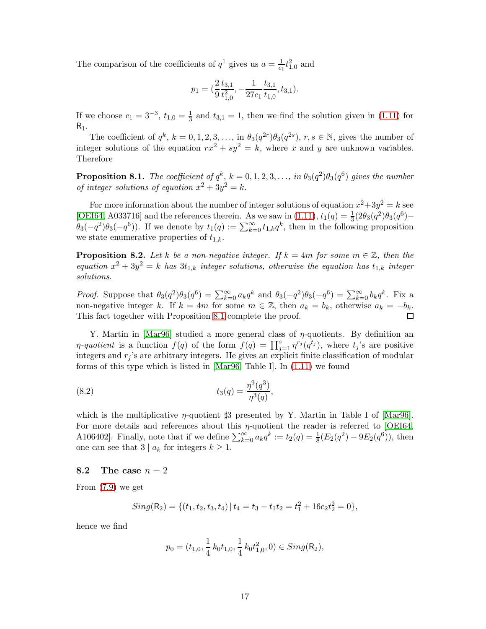The comparison of the coefficients of  $q^1$  gives us  $a = \frac{1}{c_1} t_{1,0}^2$  and

$$
p_1 = \left(\frac{2}{9}\frac{t_{3,1}}{t_{1,0}^2}, -\frac{1}{27c_1}\frac{t_{3,1}}{t_{1,0}}, t_{3,1}\right).
$$

If we choose  $c_1 = 3^{-3}, t_{1,0} = \frac{1}{3}$  $\frac{1}{3}$  and  $t_{3,1} = 1$ , then we find the solution given in [\(1.11\)](#page-3-0) for  $R_1$ .

The coefficient of  $q^k$ ,  $k = 0, 1, 2, 3, \ldots$ , in  $\theta_3(q^{2r})\theta_3(q^{2s})$ ,  $r, s \in \mathbb{N}$ , gives the number of integer solutions of the equation  $rx^2 + sy^2 = k$ , where x and y are unknown variables. Therefore

<span id="page-16-0"></span>**Proposition 8.1.** The coefficient of  $q^k$ ,  $k = 0, 1, 2, 3, \ldots$ , in  $\theta_3(q^2)\theta_3(q^6)$  gives the number of integer solutions of equation  $x^2 + 3y^2 = k$ .

For more information about the number of integer solutions of equation  $x^2+3y^2=k$  see [\[OEI64,](#page-20-13) A033716] and the references therein. As we saw in [\(1.11\)](#page-3-0),  $t_1(q) = \frac{1}{3}(2\theta_3(q^2)\theta_3(q^6) \theta_3(-q^2)\theta_3(-q^6)$ ). If we denote by  $t_1(q) := \sum_{k=0}^{\infty} t_{1,k}q^k$ , then in the following proposition we state enumerative properties of  $t_{1,k}$ .

**Proposition 8.2.** Let k be a non-negative integer. If  $k = 4m$  for some  $m \in \mathbb{Z}$ , then the equation  $x^2 + 3y^2 = k$  has  $3t_{1,k}$  integer solutions, otherwise the equation has  $t_{1,k}$  integer solutions.

*Proof.* Suppose that  $\theta_3(q^2)\theta_3(q^6) = \sum_{k=0}^{\infty} a_k q^k$  and  $\theta_3(-q^2)\theta_3(-q^6) = \sum_{k=0}^{\infty} b_k q^k$ . Fix a non-negative integer k. If  $k = 4m$  for some  $m \in \mathbb{Z}$ , then  $a_k = b_k$ , otherwise  $a_k = -b_k$ . This fact together with Proposition [8.1](#page-16-0) complete the proof. П

Y. Martin in [\[Mar96\]](#page-20-14) studied a more general class of  $\eta$ -quotients. By definition an  $\eta$ -quotient is a function  $f(q)$  of the form  $f(q) = \prod_{j=1}^s \eta^{r_j}(q^{t_j})$ , where  $t_j$ 's are positive integers and  $r_j$ 's are arbitrary integers. He gives an explicit finite classification of modular forms of this type which is listed in [\[Mar96,](#page-20-14) Table I]. In [\(1.11\)](#page-3-0) we found

<span id="page-16-1"></span>(8.2) 
$$
t_3(q) = \frac{\eta^9(q^3)}{\eta^3(q)},
$$

which is the multiplicative  $\eta$ -quotient  $\sharp 3$  presented by Y. Martin in Table I of [\[Mar96\]](#page-20-14). For more details and references about this  $\eta$ -quotient the reader is referred to [\[OEI64,](#page-20-13) A106402]. Finally, note that if we define  $\sum_{k=0}^{\infty} a_k q^k := t_2(q) = \frac{1}{8}(E_2(q^2) - 9E_2(q^6))$ , then one can see that  $3 | a_k$  for integers  $k \geq 1$ .

#### 8.2 The case  $n = 2$

From [\(7.9\)](#page-14-1) we get

$$
Sing(R_2) = \{(t_1, t_2, t_3, t_4) | t_4 = t_3 - t_1t_2 = t_1^2 + 16c_2t_2^2 = 0\},\
$$

hence we find

$$
p_0 = (t_{1,0}, \frac{1}{4}k_0t_{1,0}, \frac{1}{4}k_0t_{1,0}^2, 0) \in Sing(R_2),
$$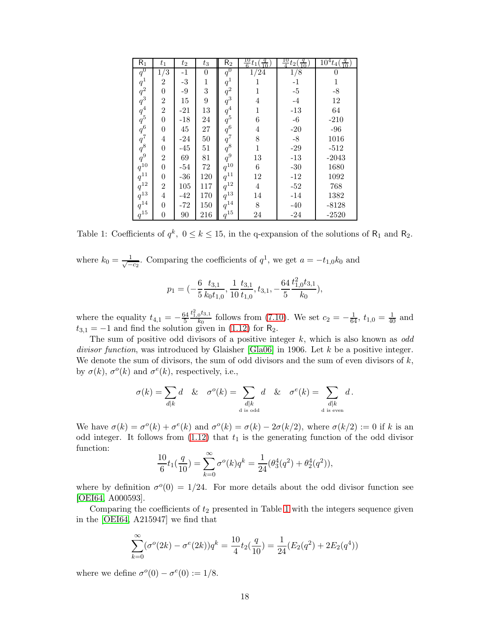| $R_1$                                                                                            | $t_1$            | $t_2$       | $t_3$            | R <sub>2</sub>         | $\frac{10}{6}t_1$ | $\frac{10}{4}t_2($ | $\frac{1}{10}$ <sup>4</sup> $t_4(\frac{q}{10})$ |
|--------------------------------------------------------------------------------------------------|------------------|-------------|------------------|------------------------|-------------------|--------------------|-------------------------------------------------|
| $q^0$                                                                                            | 1/3              | $-1$        | $\boldsymbol{0}$ | $q^0$                  | $1/\overline{24}$ | 1/8                | 0                                               |
|                                                                                                  | $\,2$            | $\text{-}3$ | $\,1$            | $\boldsymbol{q}^1$     | 1                 | $-1$               | $\,1$                                           |
|                                                                                                  | $\boldsymbol{0}$ | $-9$        | $\overline{3}$   | $q^2$                  | 1                 | $-5$               | $-8$                                            |
|                                                                                                  | $\sqrt{2}$       | 15          | $\boldsymbol{9}$ | $\overset{\cdot}{q}^3$ | $\overline{4}$    | $-4$               | $12\,$                                          |
|                                                                                                  | $\overline{2}$   | $-21$       | 13               | $q^4$                  | $\mathbf{1}$      | $-13$              | 64                                              |
|                                                                                                  | $\boldsymbol{0}$ | $-18$       | 24               | $\dot{q}^5$            | $\,6$             | $-6\phantom{1}$    | $-210$                                          |
| $\begin{array}{c} q^1\\ q^2\\ q^3\\ q^4\\ q^5\\ q^6\\ q^8\\ q^9\\ q^{10}\\ q^{11}\\ \end{array}$ | $\boldsymbol{0}$ | 45          | $27\,$           | $q^6$                  | $\overline{4}$    | $-20$              | $-96$                                           |
|                                                                                                  | $\overline{4}$   | $-24$       | $50\,$           | $q^7$                  | 8                 | $\text{-}8$        | 1016                                            |
|                                                                                                  | $\boldsymbol{0}$ | $-45$       | 51               | $\frac{q^8}{q^9}$      | $\overline{1}$    | $-29$              | $-512$                                          |
|                                                                                                  | $\overline{2}$   | 69          | 81               |                        | 13                | $-13$              | $-2043$                                         |
|                                                                                                  | $\overline{0}$   | $-54$       | $72\,$           | $q_1^{10}$             | $\,6$             | $-30$              | 1680                                            |
|                                                                                                  | $\boldsymbol{0}$ | $-36$       | 120              | $q^{11}$               | $12\,$            | $-12$              | 1092                                            |
| $q^{12}$                                                                                         | $\overline{2}$   | 105         | 117              | $q^{12}$               | $\overline{4}$    | $\textbf{-52}$     | 768                                             |
| $q^{13}$                                                                                         | $\overline{4}$   | $-42$       | 170              | $q^{13}$               | 14                | $-14$              | 1382                                            |
| $q^{14}$                                                                                         | $\overline{0}$   | $-72$       | 150              | $\boldsymbol{q}^{14}$  | $8\,$             | $-40$              | $-8128$                                         |
| $\boldsymbol{q}^{15}$                                                                            | $\boldsymbol{0}$ | 90          | 216              | $q^{15}\,$             | 24                | $-24$              | $-2520$                                         |

<span id="page-17-0"></span>Table 1: Coefficients of  $q^k$ ,  $0 \le k \le 15$ , in the q-expansion of the solutions of  $R_1$  and  $R_2$ .

where  $k_0 = \frac{1}{\sqrt{2}}$  $\frac{1}{-c_2}$ . Comparing the coefficients of  $q^1$ , we get  $a = -t_{1,0}k_0$  and

$$
p_1 = (-\frac{6}{5}\frac{t_{3,1}}{k_0 t_{1,0}}, \frac{1}{10}\frac{t_{3,1}}{t_{1,0}}, t_{3,1}, -\frac{64}{5}\frac{t_{1,0}^2 t_{3,1}}{k_0}),
$$

where the equality  $t_{4,1} = -\frac{64}{5}$ 5  $t^2_{1,0}t_{3,1}$  $\frac{6^{13} \cdot 1}{k_0}$  follows from [\(7.10\)](#page-14-2). We set  $c_2 = -\frac{1}{64}$ ,  $t_{1,0} = \frac{1}{40}$  and  $t_{3,1} = -1$  and find the solution given in [\(1.12\)](#page-3-1) for R<sub>2</sub>.

The sum of positive odd divisors of a positive integer  $k$ , which is also known as odd divisor function, was introduced by Glaisher  $[\text{Gla}06]$  in 1906. Let k be a positive integer. We denote the sum of divisors, the sum of odd divisors and the sum of even divisors of  $k$ , by  $\sigma(k)$ ,  $\sigma^{o}(k)$  and  $\sigma^{e}(k)$ , respectively, i.e.,

$$
\sigma(k) = \sum_{d|k} d \& \sigma^{o}(k) = \sum_{\substack{d|k \\ d \text{ is odd}}} d \& \sigma^{e}(k) = \sum_{\substack{d|k \\ d \text{ is even}}} d.
$$

We have  $\sigma(k) = \sigma^{o}(k) + \sigma^{e}(k)$  and  $\sigma^{o}(k) = \sigma(k) - 2\sigma(k/2)$ , where  $\sigma(k/2) := 0$  if k is an odd integer. It follows from  $(1.12)$  that  $t_1$  is the generating function of the odd divisor function:

$$
\frac{10}{6}t_1(\frac{q}{10}) = \sum_{k=0}^{\infty} \sigma^o(k)q^k = \frac{1}{24}(\theta_3^4(q^2) + \theta_2^4(q^2)),
$$

where by definition  $\sigma^0(0) = 1/24$ . For more details about the odd divisor function see [\[OEI64,](#page-20-13) A000593].

Comparing the coefficients of  $t_2$  presented in Table [1](#page-17-0) with the integers sequence given in the [\[OEI64,](#page-20-13) A215947] we find that

$$
\sum_{k=0}^{\infty} (\sigma^{o}(2k) - \sigma^{e}(2k))q^{k} = \frac{10}{4}t_{2}(\frac{q}{10}) = \frac{1}{24}(E_{2}(q^{2}) + 2E_{2}(q^{4}))
$$

where we define  $\sigma^o(0) - \sigma^e(0) := 1/8$ .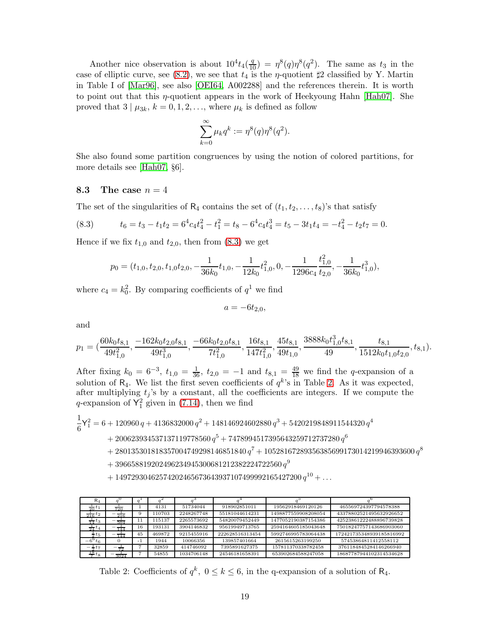Another nice observation is about  $10^4 t_4(\frac{q}{10}) = \eta^8(q)\eta^8(q^2)$ . The same as  $t_3$  in the case of elliptic curve, see [\(8.2\)](#page-16-1), we see that  $t_4$  is the  $\eta$ -quotient  $\sharp 2$  classified by Y. Martin in Table I of [\[Mar96\]](#page-20-14), see also [\[OEI64,](#page-20-13) A002288] and the references therein. It is worth to point out that this  $\eta$ -quotient appears in the work of Heekyoung Hahn [\[Hah07\]](#page-20-16). She proved that  $3 | \mu_{3k}, k = 0, 1, 2, \ldots$ , where  $\mu_k$  is defined as follow

$$
\sum_{k=0}^{\infty} \mu_k q^k := \eta^8(q)\eta^8(q^2).
$$

She also found some partition congruences by using the notion of colored partitions, for more details see [\[Hah07,](#page-20-16) §6].

### 8.3 The case  $n=4$

The set of the singularities of  $R_4$  contains the set of  $(t_1, t_2, \ldots, t_8)$ 's that satisfy

(8.3) 
$$
t_6 = t_3 - t_1 t_2 = 6^4 c_4 t_4^2 - t_1^2 = t_8 - 6^4 c_4 t_4^3 = t_5 - 3t_1 t_4 = -t_4^2 - t_2 t_7 = 0.
$$

Hence if we fix  $t_{1,0}$  and  $t_{2,0}$ , then from  $(8.3)$  we get

<span id="page-18-0"></span>
$$
p_0=(t_{1,0},t_{2,0},t_{1,0}t_{2,0},-\frac{1}{36k_0}t_{1,0},-\frac{1}{12k_0}t_{1,0}^2,0,-\frac{1}{1296c_4}\frac{t_{1,0}^2}{t_{2,0}},-\frac{1}{36k_0}t_{1,0}^3),
$$

where  $c_4 = k_0^2$ . By comparing coefficients of  $q^1$  we find

$$
a=-6t_{2,0},
$$

and

$$
p_1=(\frac{60k_0t_{8,1}}{49t_{1,0}^2},\frac{-162k_0t_{2,0}t_{8,1}}{49t_{1,0}^3},\frac{-66k_0t_{2,0}t_{8,1}}{7t_{1,0}^2},\frac{16t_{8,1}}{147t_{1,0}^2},\frac{45t_{8,1}}{49t_{1,0}},\frac{3888k_0t_{1,0}^3t_{8,1}}{49},\frac{t_{8,1}}{1512k_0t_{1,0}t_{2,0}},t_{8,1}).
$$

After fixing  $k_0 = 6^{-3}$ ,  $t_{1,0} = \frac{1}{36}$ ,  $t_{2,0} = -1$  and  $t_{8,1} = \frac{49}{18}$  we find the q-expansion of a solution of  $R_4$ . We list the first seven coefficients of  $q^k$ 's in Table [2.](#page-18-1) As it was expected, after multiplying  $t_j$ 's by a constant, all the coefficients are integers. If we compute the q-expansion of  $Y_1^2$  given in [\(7.14\)](#page-15-2), then we find

1 6  $\mathsf{Y}_1^2 = 6 + 120960\,q + 4136832000\,q^2 + 148146924602880\,q^3 + 5420219848911544320\,q^4$ 

- $+ \, 200623934537137119778560 \, q^5 + 7478994517395643259712737280 \, q^6$
- $+\ 280135301818357004749298146851840\,{q}^{7}+10528167289356385699173014219946393600\,{q}^{8}$
- $+ \, 396658819202496234945300681212382224722560 \, q^9$
- $+ 14972930462574202465673643937107499992165427200 q<sup>10</sup> + ...$

| $R_4$                         |           |      |        |            |                 |                     |                          |
|-------------------------------|-----------|------|--------|------------|-----------------|---------------------|--------------------------|
| $rac{1}{20}t_1$               | 720       |      | 4131   | 51734044   | 918902851011    | 19562918469120126   | 465569724397794578388    |
| $\frac{1}{216}t_2$            | 216       |      | 110703 | 2248267748 | 55181044614231  | 1498877559908208054 | 43378802521495632926652  |
| $\frac{1}{14}$ t <sub>3</sub> | 504       |      | 115137 | 2265573692 | 54820079452449  | 1477052190387154386 | 42523861222488896739828  |
| $\frac{1}{24}$<br>$\iota_4$   | 144       | 16   | 193131 | 3904146832 | 95619949713765  | 2594164605185043648 | 75018247757143686903060  |
| $\frac{1}{2}$ t <sub>5</sub>  | __<br>144 | 45   | 469872 | 9215455916 | 222628516313454 | 5992746995783064438 | 172421735348939185816992 |
| $-6^{\circ} t_{6}$            |           | $-1$ | 1944   | 10066356   | 139857401664    | 2615615263199250    | 57453864811412558112     |
| $-\frac{1}{2}t_{7}$           | 72        |      | 32859  | 414746092  | 7395891627375   | 157811370338782458  | 3761184845284146266940   |
| $\frac{18}{7} t_8$            | 3024      |      | 54855  | 1034706148 | 24546181658391  | 653902684588247058  | 18687787944102314534628  |

<span id="page-18-1"></span>Table 2: Coefficients of  $q^k$ ,  $0 \le k \le 6$ , in the q-expansion of a solution of R<sub>4</sub>.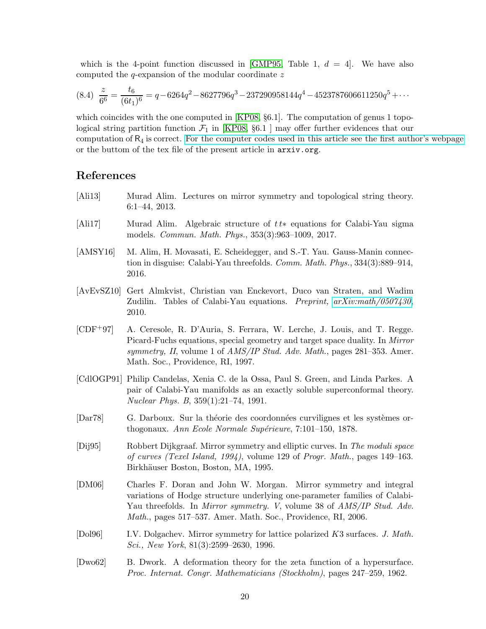which is the 4-point function discussed in  $\lfloor$  GMP95, Table 1,  $d = 4$ . We have also computed the  $q$ -expansion of the modular coordinate  $z$ 

$$
(8.4) \frac{z}{6^6} = \frac{t_6}{(6t_1)^6} = q - 6264q^2 - 8627796q^3 - 237290958144q^4 - 4523787606611250q^5 + \cdots
$$

which coincides with the one computed in [\[KP08,](#page-20-4) §6.1]. The computation of genus 1 topological string partition function  $\mathcal{F}_1$  in [\[KP08,](#page-20-4) §6.1 ] may offer further evidences that our computation of  $R_4$  is correct. [For the computer codes used in this article see the first author's webpage](http://w3.impa.br/~hossein/WikiHossein/files/Singular%20Codes/2016-03-GMCD-DF-SingularCode.txt) or the buttom of the tex file of the present article in arxiv.org.

## References

- <span id="page-19-1"></span>[Ali13] Murad Alim. Lectures on mirror symmetry and topological string theory. 6:1–44, 2013.
- <span id="page-19-8"></span>[Ali17] Murad Alim. Algebraic structure of t t∗ equations for Calabi-Yau sigma models. Commun. Math. Phys., 353(3):963–1009, 2017.
- <span id="page-19-0"></span>[AMSY16] M. Alim, H. Movasati, E. Scheidegger, and S.-T. Yau. Gauss-Manin connection in disguise: Calabi-Yau threefolds. Comm. Math. Phys., 334(3):889–914, 2016.
- <span id="page-19-2"></span>[AvEvSZ10] Gert Almkvist, Christian van Enckevort, Duco van Straten, and Wadim Zudilin. Tables of Calabi-Yau equations. Preprint,  $arXiv.math/0507430$ , 2010.
- <span id="page-19-9"></span>[CDF+97] A. Ceresole, R. D'Auria, S. Ferrara, W. Lerche, J. Louis, and T. Regge. Picard-Fuchs equations, special geometry and target space duality. In Mirror symmetry, II, volume 1 of  $AMS/IP$  Stud. Adv. Math., pages 281–353. Amer. Math. Soc., Providence, RI, 1997.
- <span id="page-19-6"></span>[CdlOGP91] Philip Candelas, Xenia C. de la Ossa, Paul S. Green, and Linda Parkes. A pair of Calabi-Yau manifolds as an exactly soluble superconformal theory. Nuclear Phys. B, 359(1):21–74, 1991.
- <span id="page-19-7"></span>[Dar78] G. Darboux. Sur la théorie des coordonnées curvilignes et les systèmes orthogonaux. Ann Ecole Normale Supérieure,  $7:101-150$ , 1878.
- <span id="page-19-4"></span>[Dij95] Robbert Dijkgraaf. Mirror symmetry and elliptic curves. In The moduli space of curves (Texel Island, 1994), volume 129 of Progr. Math., pages 149–163. Birkhäuser Boston, Boston, MA, 1995.
- <span id="page-19-3"></span>[DM06] Charles F. Doran and John W. Morgan. Mirror symmetry and integral variations of Hodge structure underlying one-parameter families of Calabi-Yau threefolds. In *Mirror symmetry.* V, volume 38 of *AMS/IP Stud. Adv.* Math., pages 517–537. Amer. Math. Soc., Providence, RI, 2006.
- <span id="page-19-5"></span>[Dol96] I.V. Dolgachev. Mirror symmetry for lattice polarized K3 surfaces. J. Math. Sci., New York, 81(3):2599–2630, 1996.
- <span id="page-19-10"></span>[Dwo62] B. Dwork. A deformation theory for the zeta function of a hypersurface. Proc. Internat. Congr. Mathematicians (Stockholm), pages 247–259, 1962.